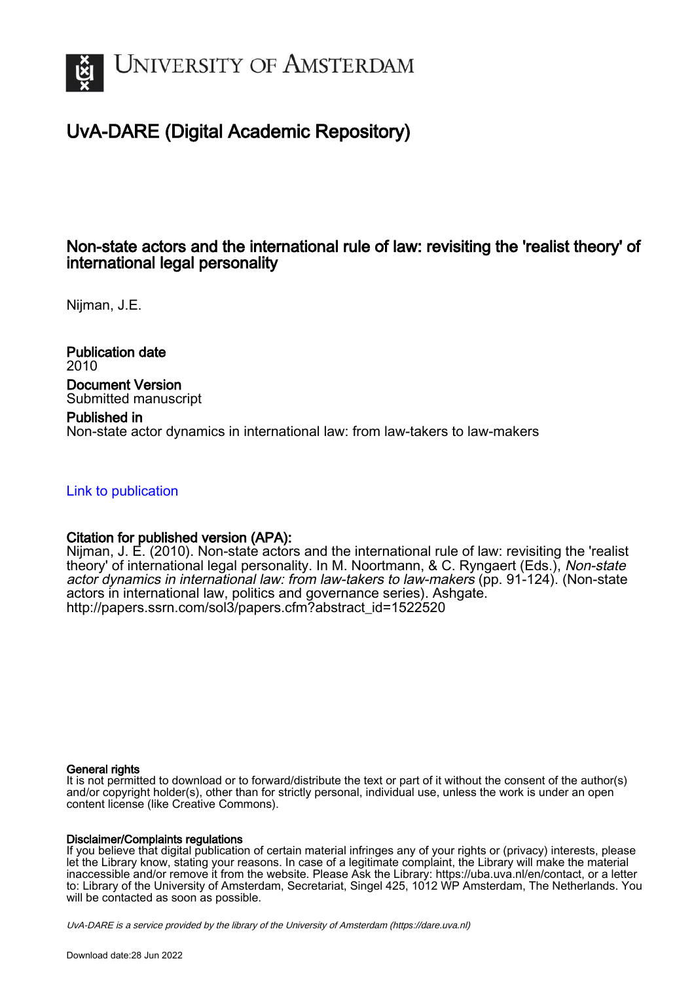

# UvA-DARE (Digital Academic Repository)

# Non-state actors and the international rule of law: revisiting the 'realist theory' of international legal personality

Nijman, J.E.

Publication date 2010 Document Version Submitted manuscript

Published in Non-state actor dynamics in international law: from law-takers to law-makers

[Link to publication](https://dare.uva.nl/personal/pure/en/publications/nonstate-actors-and-the-international-rule-of-law-revisiting-the-realist-theory-of-international-legal-personality(f2cbad0c-ddad-4305-84ee-f1b8c6a9ee90).html)

# Citation for published version (APA):

Nijman, J. E. (2010). Non-state actors and the international rule of law: revisiting the 'realist theory' of international legal personality. In M. Noortmann, & C. Ryngaert (Eds.), Non-state actor dynamics in international law: from law-takers to law-makers (pp. 91-124). (Non-state actors in international law, politics and governance series). Ashgate. [http://papers.ssrn.com/sol3/papers.cfm?abstract\\_id=1522520](http://papers.ssrn.com/sol3/papers.cfm?abstract_id=1522520)

#### General rights

It is not permitted to download or to forward/distribute the text or part of it without the consent of the author(s) and/or copyright holder(s), other than for strictly personal, individual use, unless the work is under an open content license (like Creative Commons).

#### Disclaimer/Complaints regulations

If you believe that digital publication of certain material infringes any of your rights or (privacy) interests, please let the Library know, stating your reasons. In case of a legitimate complaint, the Library will make the material inaccessible and/or remove it from the website. Please Ask the Library: https://uba.uva.nl/en/contact, or a letter to: Library of the University of Amsterdam, Secretariat, Singel 425, 1012 WP Amsterdam, The Netherlands. You will be contacted as soon as possible.

UvA-DARE is a service provided by the library of the University of Amsterdam (http*s*://dare.uva.nl)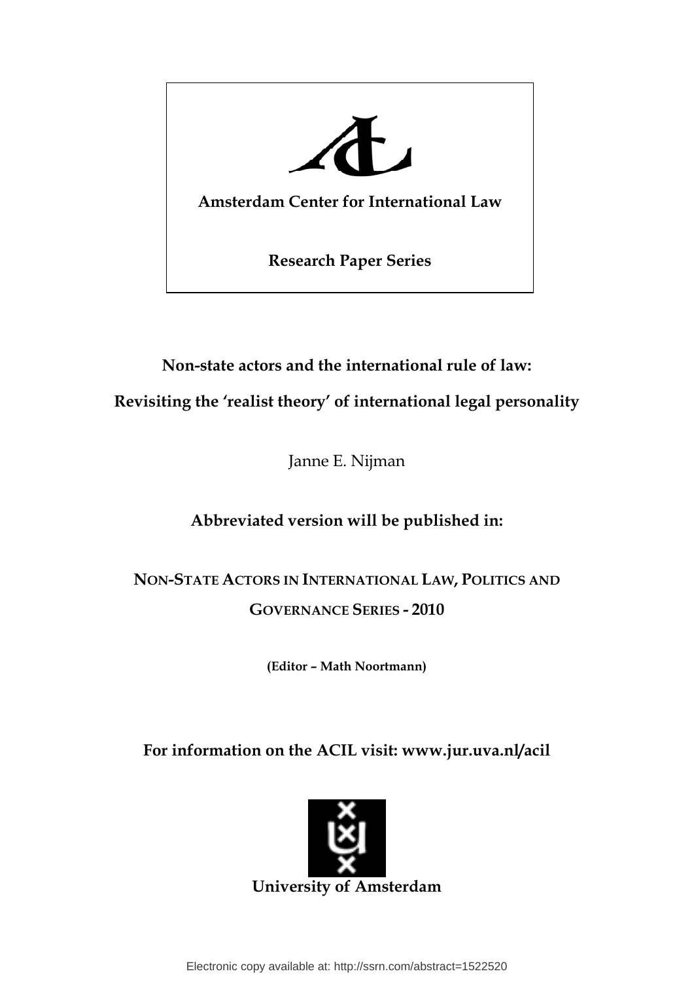

# **Non-state actors and the international rule of law:**

**Revisiting the 'realist theory' of international legal personality**

Janne E. Nijman

# **Abbreviated version will be published in:**

# **NON-STATE ACTORS IN INTERNATIONAL LAW, POLITICS AND GOVERNANCE SERIES - 2010**

**(Editor – Math Noortmann)** 

# **For information on the ACIL visit: www.jur.uva.nl/acil**



Electronic copy available at: http://ssrn.com/abstract=1522520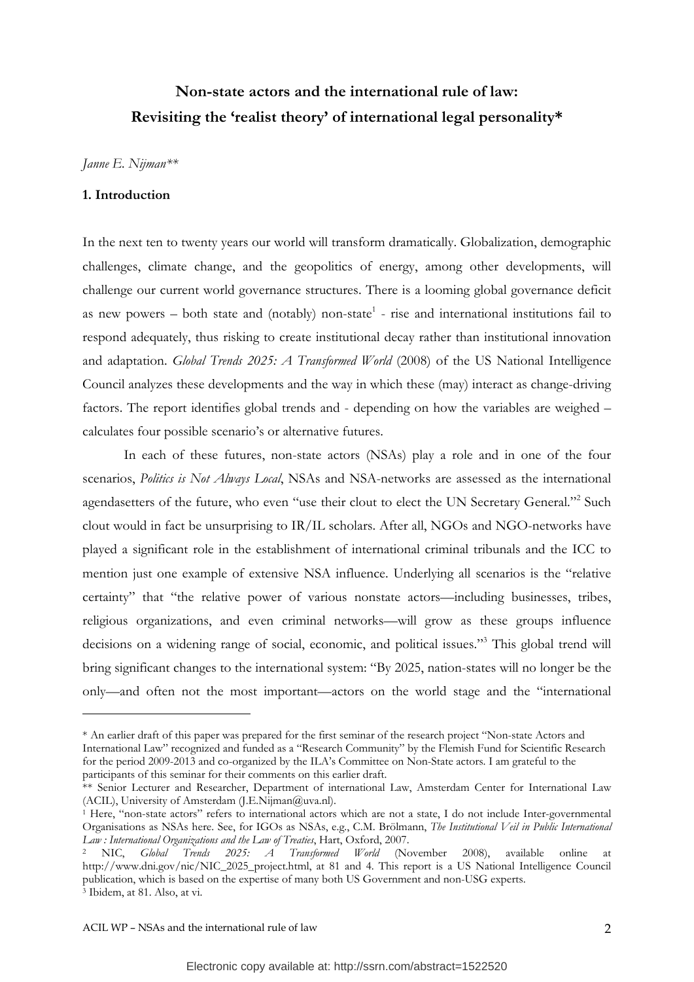# **Non-state actors and the international rule of law: Revisiting the 'realist theory' of international legal personality\***

*Janne E. Nijman\*\** 

#### **1. Introduction**

-

In the next ten to twenty years our world will transform dramatically. Globalization, demographic challenges, climate change, and the geopolitics of energy, among other developments, will challenge our current world governance structures. There is a looming global governance deficit as new powers  $-$  both state and (notably) non-state<sup>1</sup> - rise and international institutions fail to respond adequately, thus risking to create institutional decay rather than institutional innovation and adaptation. *Global Trends 2025: A Transformed World* (2008) of the US National Intelligence Council analyzes these developments and the way in which these (may) interact as change-driving factors. The report identifies global trends and - depending on how the variables are weighed – calculates four possible scenario's or alternative futures.

In each of these futures, non-state actors (NSAs) play a role and in one of the four scenarios, *Politics is Not Always Local*, NSAs and NSA-networks are assessed as the international agendasetters of the future, who even "use their clout to elect the UN Secretary General."<sup>2</sup> Such clout would in fact be unsurprising to IR/IL scholars. After all, NGOs and NGO-networks have played a significant role in the establishment of international criminal tribunals and the ICC to mention just one example of extensive NSA influence. Underlying all scenarios is the "relative certainty" that "the relative power of various nonstate actors—including businesses, tribes, religious organizations, and even criminal networks—will grow as these groups influence decisions on a widening range of social, economic, and political issues."<sup>3</sup> This global trend will bring significant changes to the international system: "By 2025, nation-states will no longer be the only—and often not the most important—actors on the world stage and the "international

ACIL WP – NSAs and the international rule of law 2

<sup>\*</sup> An earlier draft of this paper was prepared for the first seminar of the research project "Non-state Actors and International Law" recognized and funded as a "Research Community" by the Flemish Fund for Scientific Research for the period 2009-2013 and co-organized by the ILA's Committee on Non-State actors. I am grateful to the participants of this seminar for their comments on this earlier draft.

<sup>\*\*</sup> Senior Lecturer and Researcher, Department of international Law, Amsterdam Center for International Law (ACIL), University of Amsterdam (J.E.Nijman@uva.nl).

<sup>&</sup>lt;sup>1</sup> Here, "non-state actors" refers to international actors which are not a state, I do not include Inter-governmental Organisations as NSAs here. See, for IGOs as NSAs, e.g., C.M. Brölmann, *The Institutional Veil in Public International Law : International Organizations and the Law of Treaties*, Hart, Oxford, 2007. 2 NIC, *Global Trends 2025: A Transformed World* (November 2008), available online at

http://www.dni.gov/nic/NIC\_2025\_project.html, at 81 and 4. This report is a US National Intelligence Council publication, which is based on the expertise of many both US Government and non-USG experts. 3 Ibidem, at 81. Also, at vi.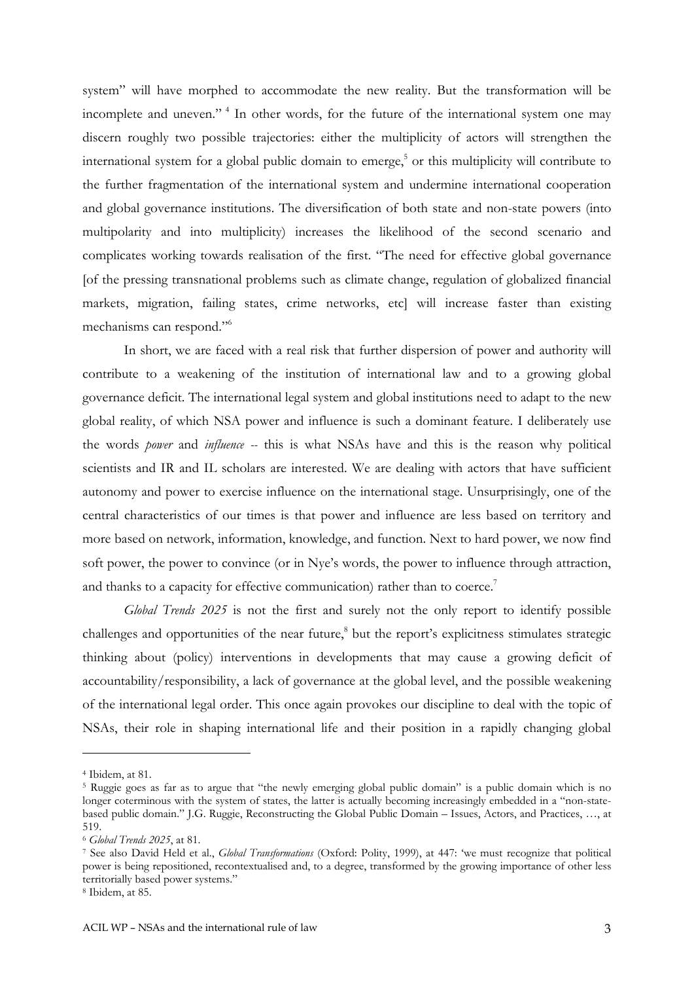system" will have morphed to accommodate the new reality. But the transformation will be incomplete and uneven." 4 In other words, for the future of the international system one may discern roughly two possible trajectories: either the multiplicity of actors will strengthen the international system for a global public domain to emerge,<sup>5</sup> or this multiplicity will contribute to the further fragmentation of the international system and undermine international cooperation and global governance institutions. The diversification of both state and non-state powers (into multipolarity and into multiplicity) increases the likelihood of the second scenario and complicates working towards realisation of the first. "The need for effective global governance [of the pressing transnational problems such as climate change, regulation of globalized financial markets, migration, failing states, crime networks, etc] will increase faster than existing mechanisms can respond."6

 In short, we are faced with a real risk that further dispersion of power and authority will contribute to a weakening of the institution of international law and to a growing global governance deficit. The international legal system and global institutions need to adapt to the new global reality, of which NSA power and influence is such a dominant feature. I deliberately use the words *power* and *influence --* this is what NSAs have and this is the reason why political scientists and IR and IL scholars are interested. We are dealing with actors that have sufficient autonomy and power to exercise influence on the international stage. Unsurprisingly, one of the central characteristics of our times is that power and influence are less based on territory and more based on network, information, knowledge, and function. Next to hard power, we now find soft power, the power to convince (or in Nye's words, the power to influence through attraction, and thanks to a capacity for effective communication) rather than to coerce.<sup>7</sup>

*Global Trends 2025* is not the first and surely not the only report to identify possible challenges and opportunities of the near future,<sup>8</sup> but the report's explicitness stimulates strategic thinking about (policy) interventions in developments that may cause a growing deficit of accountability/responsibility, a lack of governance at the global level, and the possible weakening of the international legal order. This once again provokes our discipline to deal with the topic of NSAs, their role in shaping international life and their position in a rapidly changing global

<sup>4</sup> Ibidem, at 81.

<sup>5</sup> Ruggie goes as far as to argue that "the newly emerging global public domain" is a public domain which is no longer coterminous with the system of states, the latter is actually becoming increasingly embedded in a "non-statebased public domain." J.G. Ruggie, Reconstructing the Global Public Domain – Issues, Actors, and Practices, …, at 519.

<sup>6</sup> *Global Trends 2025*, at 81. 7 See also David Held et al., *Global Transformations* (Oxford: Polity, 1999), at 447: 'we must recognize that political power is being repositioned, recontextualised and, to a degree, transformed by the growing importance of other less territorially based power systems." 8 Ibidem, at 85.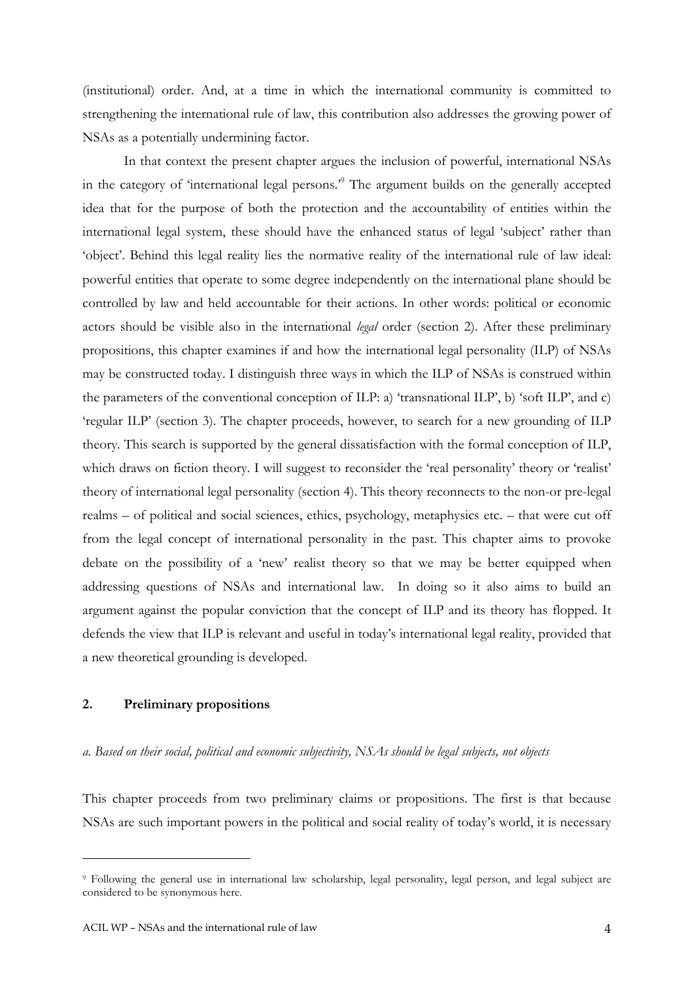(institutional) order. And, at a time in which the international community is committed to strengthening the international rule of law, this contribution also addresses the growing power of NSAs as a potentially undermining factor.

 In that context the present chapter argues the inclusion of powerful, international NSAs in the category of 'international legal persons.'9 The argument builds on the generally accepted idea that for the purpose of both the protection and the accountability of entities within the international legal system, these should have the enhanced status of legal 'subject' rather than 'object'. Behind this legal reality lies the normative reality of the international rule of law ideal: powerful entities that operate to some degree independently on the international plane should be controlled by law and held accountable for their actions. In other words: political or economic actors should be visible also in the international *legal* order (section 2). After these preliminary propositions, this chapter examines if and how the international legal personality (ILP) of NSAs may be constructed today. I distinguish three ways in which the ILP of NSAs is construed within the parameters of the conventional conception of ILP: a) 'transnational ILP', b) 'soft ILP', and c) 'regular ILP' (section 3). The chapter proceeds, however, to search for a new grounding of ILP theory. This search is supported by the general dissatisfaction with the formal conception of ILP, which draws on fiction theory. I will suggest to reconsider the 'real personality' theory or 'realist' theory of international legal personality (section 4). This theory reconnects to the non-or pre-legal realms – of political and social sciences, ethics, psychology, metaphysics etc. – that were cut off from the legal concept of international personality in the past. This chapter aims to provoke debate on the possibility of a 'new' realist theory so that we may be better equipped when addressing questions of NSAs and international law. In doing so it also aims to build an argument against the popular conviction that the concept of ILP and its theory has flopped. It defends the view that ILP is relevant and useful in today's international legal reality, provided that a new theoretical grounding is developed.

## **2. Preliminary propositions**

-

#### *a. Based on their social, political and economic subjectivity, NSAs should be legal subjects, not objects*

This chapter proceeds from two preliminary claims or propositions. The first is that because NSAs are such important powers in the political and social reality of today's world, it is necessary

<sup>9</sup> Following the general use in international law scholarship, legal personality, legal person, and legal subject are considered to be synonymous here.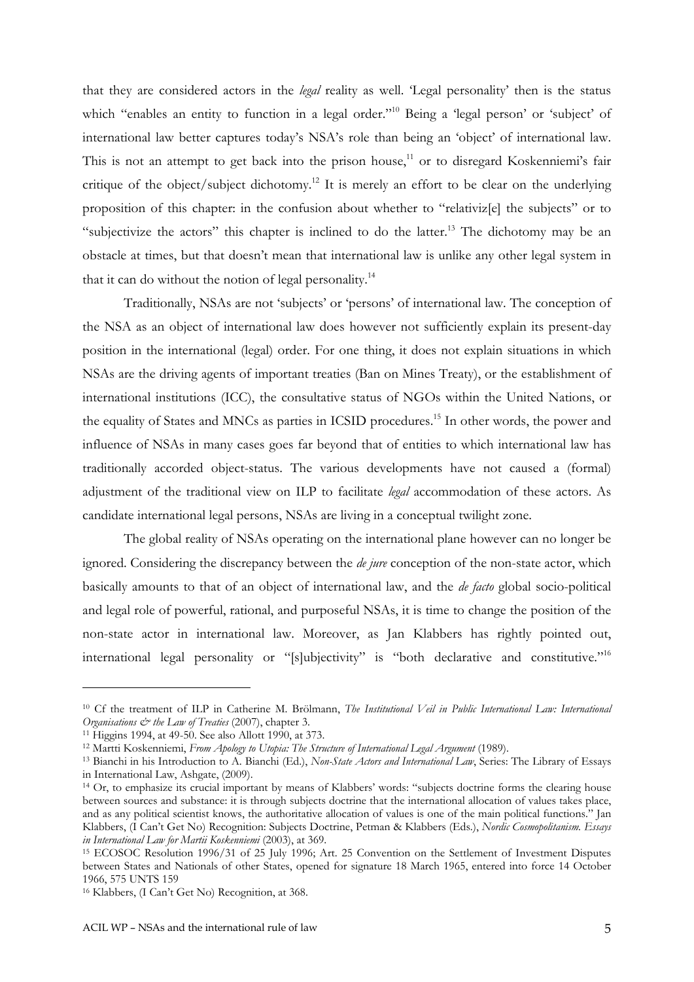that they are considered actors in the *legal* reality as well. 'Legal personality' then is the status which "enables an entity to function in a legal order."<sup>10</sup> Being a 'legal person' or 'subject' of international law better captures today's NSA's role than being an 'object' of international law. This is not an attempt to get back into the prison house,<sup>11</sup> or to disregard Koskenniemi's fair critique of the object/subject dichotomy.12 It is merely an effort to be clear on the underlying proposition of this chapter: in the confusion about whether to "relativiz[e] the subjects" or to "subjectivize the actors" this chapter is inclined to do the latter.<sup>13</sup> The dichotomy may be an obstacle at times, but that doesn't mean that international law is unlike any other legal system in that it can do without the notion of legal personality.<sup>14</sup>

 Traditionally, NSAs are not 'subjects' or 'persons' of international law. The conception of the NSA as an object of international law does however not sufficiently explain its present-day position in the international (legal) order. For one thing, it does not explain situations in which NSAs are the driving agents of important treaties (Ban on Mines Treaty), or the establishment of international institutions (ICC), the consultative status of NGOs within the United Nations, or the equality of States and MNCs as parties in ICSID procedures.<sup>15</sup> In other words, the power and influence of NSAs in many cases goes far beyond that of entities to which international law has traditionally accorded object-status. The various developments have not caused a (formal) adjustment of the traditional view on ILP to facilitate *legal* accommodation of these actors. As candidate international legal persons, NSAs are living in a conceptual twilight zone.

 The global reality of NSAs operating on the international plane however can no longer be ignored. Considering the discrepancy between the *de jure* conception of the non-state actor, which basically amounts to that of an object of international law, and the *de facto* global socio-political and legal role of powerful, rational, and purposeful NSAs, it is time to change the position of the non-state actor in international law. Moreover, as Jan Klabbers has rightly pointed out, international legal personality or "[s]ubjectivity" is "both declarative and constitutive."<sup>16</sup>

<sup>10</sup> Cf the treatment of ILP in Catherine M. Brölmann, *The Institutional Veil in Public International Law: International Organisations & the Law of Treaties* (2007), chapter 3. 11 Higgins 1994, at 49-50. See also Allott 1990, at 373.

<sup>&</sup>lt;sup>12</sup> Martti Koskenniemi, From Apology to Utopia: The Structure of International Legal Argument (1989).<br><sup>13</sup> Bianchi in his Introduction to A. Bianchi (Ed.), Non-State Actors and International Law, Series: The Library of Es in International Law, Ashgate, (2009).

<sup>14</sup> Or, to emphasize its crucial important by means of Klabbers' words: "subjects doctrine forms the clearing house between sources and substance: it is through subjects doctrine that the international allocation of values takes place, and as any political scientist knows, the authoritative allocation of values is one of the main political functions." Jan Klabbers, (I Can't Get No) Recognition: Subjects Doctrine, Petman & Klabbers (Eds.), *Nordic Cosmopolitanism. Essays in International Law for Martii Koskenniemi* (2003), at 369.<br><sup>15</sup> ECOSOC Resolution 1996/31 of 25 July 1996; Art. 25 Convention on the Settlement of Investment Disputes

between States and Nationals of other States, opened for signature 18 March 1965, entered into force 14 October 1966, 575 UNTS 159

<sup>16</sup> Klabbers, (I Can't Get No) Recognition, at 368.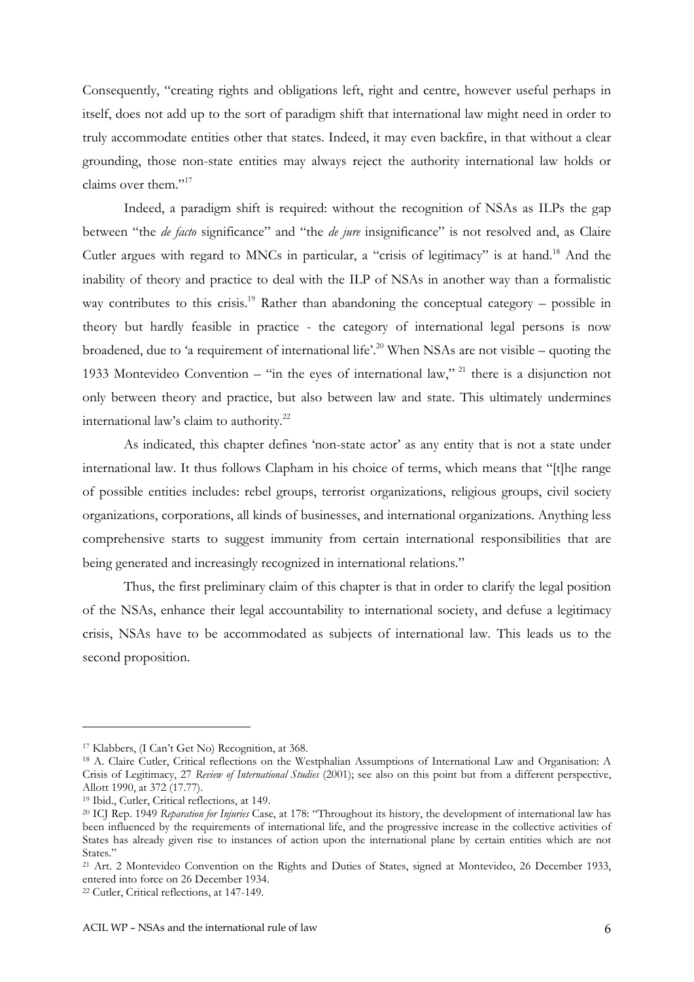Consequently, "creating rights and obligations left, right and centre, however useful perhaps in itself, does not add up to the sort of paradigm shift that international law might need in order to truly accommodate entities other that states. Indeed, it may even backfire, in that without a clear grounding, those non-state entities may always reject the authority international law holds or claims over them."17

 Indeed, a paradigm shift is required: without the recognition of NSAs as ILPs the gap between "the *de facto* significance" and "the *de jure* insignificance" is not resolved and, as Claire Cutler argues with regard to MNCs in particular, a "crisis of legitimacy" is at hand.18 And the inability of theory and practice to deal with the ILP of NSAs in another way than a formalistic way contributes to this crisis.<sup>19</sup> Rather than abandoning the conceptual category – possible in theory but hardly feasible in practice - the category of international legal persons is now broadened, due to 'a requirement of international life'.<sup>20</sup> When NSAs are not visible – quoting the 1933 Montevideo Convention – "in the eyes of international law,"  $^{21}$  there is a disjunction not only between theory and practice, but also between law and state. This ultimately undermines international law's claim to authority.<sup>22</sup>

As indicated, this chapter defines 'non-state actor' as any entity that is not a state under international law. It thus follows Clapham in his choice of terms, which means that "[t]he range of possible entities includes: rebel groups, terrorist organizations, religious groups, civil society organizations, corporations, all kinds of businesses, and international organizations. Anything less comprehensive starts to suggest immunity from certain international responsibilities that are being generated and increasingly recognized in international relations."

Thus, the first preliminary claim of this chapter is that in order to clarify the legal position of the NSAs, enhance their legal accountability to international society, and defuse a legitimacy crisis, NSAs have to be accommodated as subjects of international law. This leads us to the second proposition.

<sup>17</sup> Klabbers, (I Can't Get No) Recognition, at 368.

<sup>18</sup> A. Claire Cutler, Critical reflections on the Westphalian Assumptions of International Law and Organisation: A Crisis of Legitimacy, 27 *Review of International Studies* (2001); see also on this point but from a different perspective, Allott 1990, at 372 (17.77).

<sup>&</sup>lt;sup>19</sup> Ibid., Cutler, Critical reflections, at 149.<br><sup>20</sup> ICJ Rep. 1949 *Reparation for Injuries* Case, at 178: "Throughout its history, the development of international law has been influenced by the requirements of international life, and the progressive increase in the collective activities of States has already given rise to instances of action upon the international plane by certain entities which are not States."

<sup>21</sup> Art. 2 Montevideo Convention on the Rights and Duties of States, signed at Montevideo, 26 December 1933, entered into force on 26 December 1934.

<sup>22</sup> Cutler, Critical reflections, at 147-149.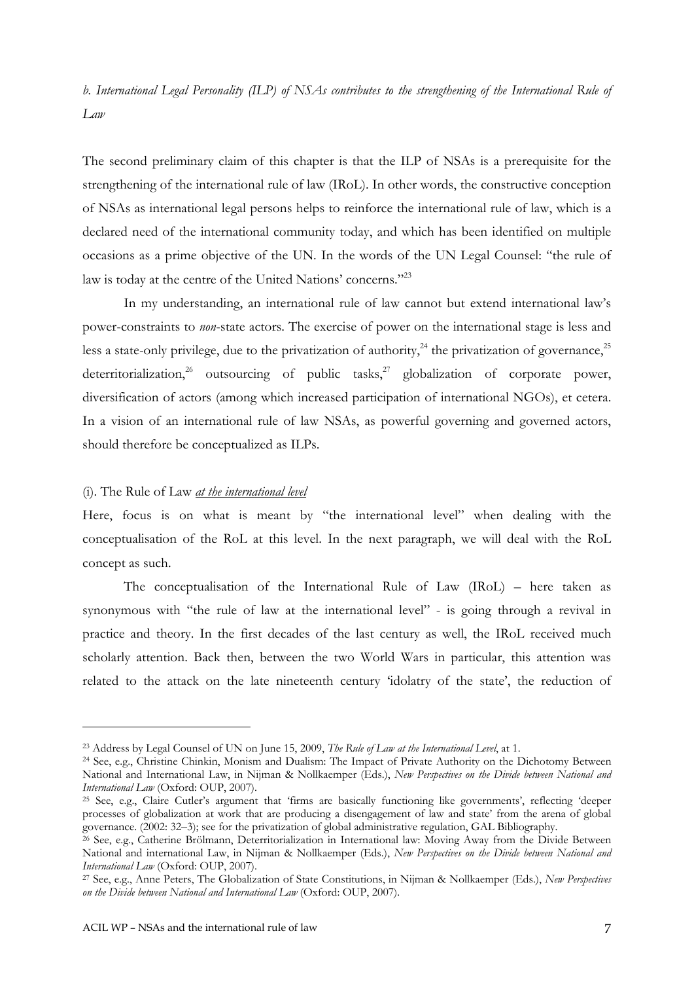*b. International Legal Personality (ILP) of NSAs contributes to the strengthening of the International Rule of Law* 

The second preliminary claim of this chapter is that the ILP of NSAs is a prerequisite for the strengthening of the international rule of law (IRoL). In other words, the constructive conception of NSAs as international legal persons helps to reinforce the international rule of law, which is a declared need of the international community today, and which has been identified on multiple occasions as a prime objective of the UN. In the words of the UN Legal Counsel: "the rule of law is today at the centre of the United Nations' concerns."<sup>23</sup>

In my understanding, an international rule of law cannot but extend international law's power-constraints to *non*-state actors. The exercise of power on the international stage is less and less a state-only privilege, due to the privatization of authority,  $24$  the privatization of governance,  $25$ deterritorialization,<sup>26</sup> outsourcing of public tasks,<sup>27</sup> globalization of corporate power, diversification of actors (among which increased participation of international NGOs), et cetera. In a vision of an international rule of law NSAs, as powerful governing and governed actors, should therefore be conceptualized as ILPs.

# (i). The Rule of Law *at the international level*

Here, focus is on what is meant by "the international level" when dealing with the conceptualisation of the RoL at this level. In the next paragraph, we will deal with the RoL concept as such.

 The conceptualisation of the International Rule of Law (IRoL) – here taken as synonymous with "the rule of law at the international level" - is going through a revival in practice and theory. In the first decades of the last century as well, the IRoL received much scholarly attention. Back then, between the two World Wars in particular, this attention was related to the attack on the late nineteenth century 'idolatry of the state', the reduction of

<sup>&</sup>lt;sup>23</sup> Address by Legal Counsel of UN on June 15, 2009, *The Rule of Law at the International Level*, at 1.<br><sup>24</sup> See, e.g., Christine Chinkin, Monism and Dualism: The Impact of Private Authority on the Dichotomy Between National and International Law, in Nijman & Nollkaemper (Eds.), *New Perspectives on the Divide between National and International Law* (Oxford: OUP, 2007).<br><sup>25</sup> See, e.g., Claire Cutler's argument that 'firms are basically functioning like governments', reflecting 'deeper

processes of globalization at work that are producing a disengagement of law and state' from the arena of global governance. (2002: 32–3); see for the privatization of global administrative regulation, GAL Bibliography. 26 See, e.g., Catherine Brölmann, Deterritorialization in International law: Moving Away from the Divide Between

National and international Law, in Nijman & Nollkaemper (Eds.), *New Perspectives on the Divide between National and International Law* (Oxford: OUP, 2007).<br><sup>27</sup> See, e.g., Anne Peters, The Globalization of State Constitutions, in Nijman & Nollkaemper (Eds.), *New Perspectives* 

*on the Divide between National and International Law* (Oxford: OUP, 2007).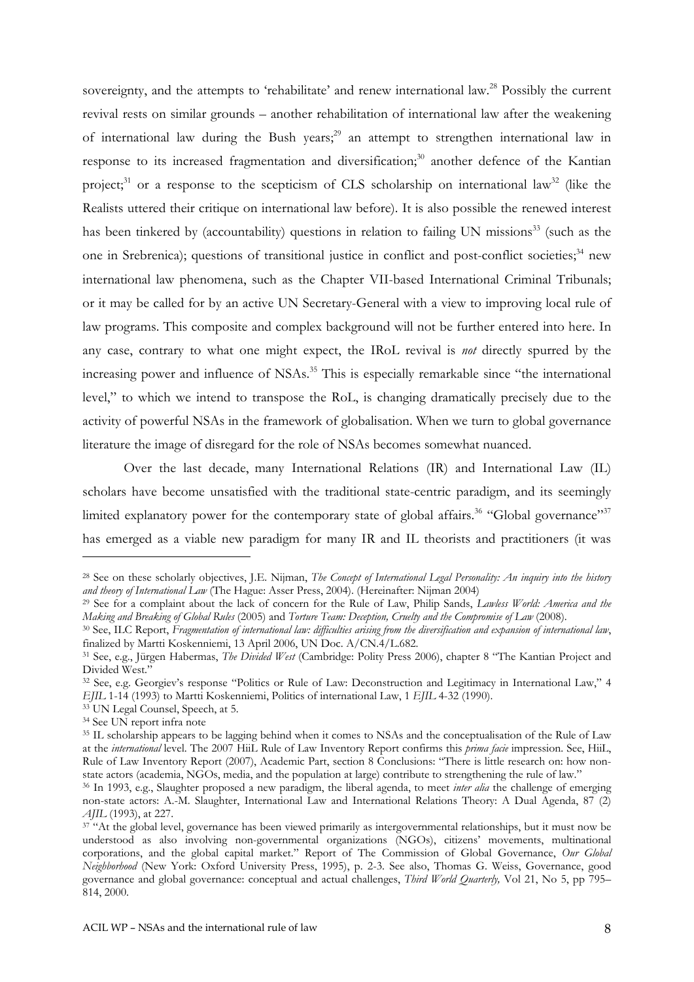sovereignty, and the attempts to 'rehabilitate' and renew international law.<sup>28</sup> Possibly the current revival rests on similar grounds – another rehabilitation of international law after the weakening of international law during the Bush years;<sup>29</sup> an attempt to strengthen international law in response to its increased fragmentation and diversification;<sup>30</sup> another defence of the Kantian project;<sup>31</sup> or a response to the scepticism of CLS scholarship on international law<sup>32</sup> (like the Realists uttered their critique on international law before). It is also possible the renewed interest has been tinkered by (accountability) questions in relation to failing UN missions $33$  (such as the one in Srebrenica); questions of transitional justice in conflict and post-conflict societies;<sup>34</sup> new international law phenomena, such as the Chapter VII-based International Criminal Tribunals; or it may be called for by an active UN Secretary-General with a view to improving local rule of law programs. This composite and complex background will not be further entered into here. In any case, contrary to what one might expect, the IRoL revival is *not* directly spurred by the increasing power and influence of NSAs.<sup>35</sup> This is especially remarkable since "the international level," to which we intend to transpose the RoL, is changing dramatically precisely due to the activity of powerful NSAs in the framework of globalisation. When we turn to global governance literature the image of disregard for the role of NSAs becomes somewhat nuanced.

Over the last decade, many International Relations (IR) and International Law (IL) scholars have become unsatisfied with the traditional state-centric paradigm, and its seemingly limited explanatory power for the contemporary state of global affairs.<sup>36</sup> "Global governance"<sup>37</sup> has emerged as a viable new paradigm for many IR and IL theorists and practitioners (it was

<sup>28</sup> See on these scholarly objectives, J.E. Nijman, *The Concept of International Legal Personality: An inquiry into the history and theory of International Law* (The Hague: Asser Press, 2004). (Hereinafter: Nijman 2004) 29 See for a complaint about the lack of concern for the Rule of Law, Philip Sands, *Lawless World: America and the* 

Making and Breaking of Global Rules (2005) and Torture Team: Deception, Cruelty and the Compromise of Law (2008).<br><sup>30</sup> See, ILC Report, Fragmentation of international law: difficulties arising from the diversification and

finalized by Martti Koskenniemi, 13 April 2006, UN Doc. A/CN.4/L.682. 31 See, e.g., Jürgen Habermas, *The Divided West* (Cambridge: Polity Press 2006), chapter 8 "The Kantian Project and

Divided West."

<sup>32</sup> See, e.g. Georgiev's response "Politics or Rule of Law: Deconstruction and Legitimacy in International Law," 4 *EJIL* 1-14 (1993) to Martti Koskenniemi, Politics of international Law, 1 *EJIL* 4-32 (1990). 33 UN Legal Counsel, Speech, at 5.

<sup>34</sup> See UN report infra note

<sup>&</sup>lt;sup>35</sup> IL scholarship appears to be lagging behind when it comes to NSAs and the conceptualisation of the Rule of Law at the *international* level. The 2007 HiiL Rule of Law Inventory Report confirms this *prima facie* impression. See, HiiL, Rule of Law Inventory Report (2007), Academic Part, section 8 Conclusions: "There is little research on: how nonstate actors (academia, NGOs, media, and the population at large) contribute to strengthening the rule of law."<br><sup>36</sup> In 1993, e.g., Slaughter proposed a new paradigm, the liberal agenda, to meet *inter alia* the challenge

non-state actors: A.-M. Slaughter, International Law and International Relations Theory: A Dual Agenda, 87 (2) *AJIL* (1993), at 227.<br><sup>37</sup> "At the global level, governance has been viewed primarily as intergovernmental relationships, but it must now be

understood as also involving non-governmental organizations (NGOs), citizens' movements, multinational corporations, and the global capital market." Report of The Commission of Global Governance, *Our Global Neighborhood* (New York: Oxford University Press, 1995), p. 2-3. See also, Thomas G. Weiss, Governance, good governance and global governance: conceptual and actual challenges, *Third World Quarterly,* Vol 21, No 5, pp 795– 814, 2000.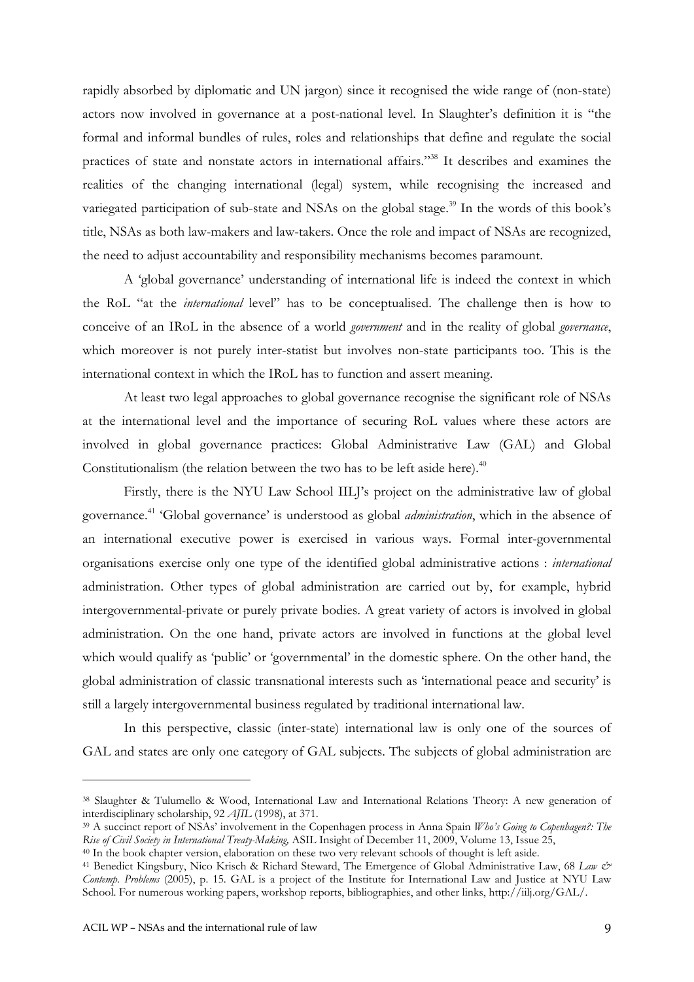rapidly absorbed by diplomatic and UN jargon) since it recognised the wide range of (non-state) actors now involved in governance at a post-national level. In Slaughter's definition it is "the formal and informal bundles of rules, roles and relationships that define and regulate the social practices of state and nonstate actors in international affairs."38 It describes and examines the realities of the changing international (legal) system, while recognising the increased and variegated participation of sub-state and NSAs on the global stage.<sup>39</sup> In the words of this book's title, NSAs as both law-makers and law-takers. Once the role and impact of NSAs are recognized, the need to adjust accountability and responsibility mechanisms becomes paramount.

 A 'global governance' understanding of international life is indeed the context in which the RoL "at the *international* level" has to be conceptualised. The challenge then is how to conceive of an IRoL in the absence of a world *government* and in the reality of global *governance*, which moreover is not purely inter-statist but involves non-state participants too. This is the international context in which the IRoL has to function and assert meaning.

 At least two legal approaches to global governance recognise the significant role of NSAs at the international level and the importance of securing RoL values where these actors are involved in global governance practices: Global Administrative Law (GAL) and Global Constitutionalism (the relation between the two has to be left aside here).<sup>40</sup>

 Firstly, there is the NYU Law School IILJ's project on the administrative law of global governance.41 'Global governance' is understood as global *administration*, which in the absence of an international executive power is exercised in various ways. Formal inter-governmental organisations exercise only one type of the identified global administrative actions : *international* administration. Other types of global administration are carried out by, for example, hybrid intergovernmental-private or purely private bodies. A great variety of actors is involved in global administration. On the one hand, private actors are involved in functions at the global level which would qualify as 'public' or 'governmental' in the domestic sphere. On the other hand, the global administration of classic transnational interests such as 'international peace and security' is still a largely intergovernmental business regulated by traditional international law.

 In this perspective, classic (inter-state) international law is only one of the sources of GAL and states are only one category of GAL subjects. The subjects of global administration are

<sup>38</sup> Slaughter & Tulumello & Wood, International Law and International Relations Theory: A new generation of

interdisciplinary scholarship, 92 *AJIL* (1998), at 371.<br><sup>39</sup> A succinct report of NSAs' involvement in the Copenhagen process in Anna Spain *Who's Going to Copenhagen?: The*<br>*Rise of Civil Society in International Treaty-*

<sup>&</sup>lt;sup>40</sup> In the book chapter version, elaboration on these two very relevant schools of thought is left aside.<br><sup>41</sup> Benedict Kingsbury, Nico Krisch & Richard Steward, The Emergence of Global Administrative Law, 68 Law &

*Contemp. Problems* (2005), p. 15. GAL is a project of the Institute for International Law and Justice at NYU Law School. For numerous working papers, workshop reports, bibliographies, and other links, http://iilj.org/GAL/.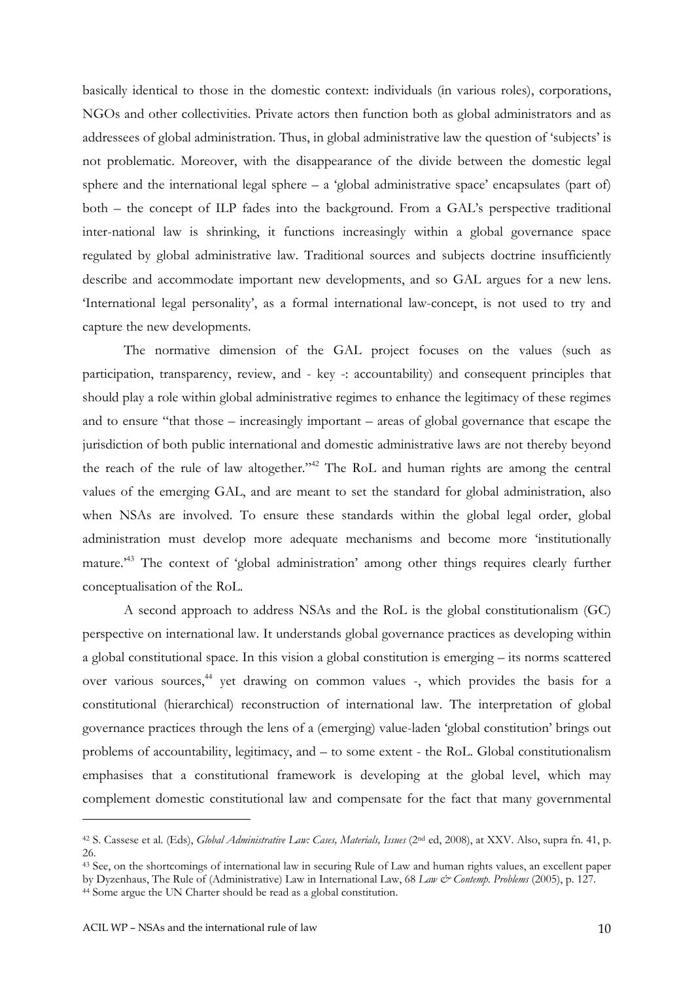basically identical to those in the domestic context: individuals (in various roles), corporations, NGOs and other collectivities. Private actors then function both as global administrators and as addressees of global administration. Thus, in global administrative law the question of 'subjects' is not problematic. Moreover, with the disappearance of the divide between the domestic legal sphere and the international legal sphere  $- a$  'global administrative space' encapsulates (part of) both – the concept of ILP fades into the background. From a GAL's perspective traditional inter-national law is shrinking, it functions increasingly within a global governance space regulated by global administrative law. Traditional sources and subjects doctrine insufficiently describe and accommodate important new developments, and so GAL argues for a new lens. 'International legal personality', as a formal international law-concept, is not used to try and capture the new developments.

 The normative dimension of the GAL project focuses on the values (such as participation, transparency, review, and - key -: accountability) and consequent principles that should play a role within global administrative regimes to enhance the legitimacy of these regimes and to ensure "that those – increasingly important – areas of global governance that escape the jurisdiction of both public international and domestic administrative laws are not thereby beyond the reach of the rule of law altogether."42 The RoL and human rights are among the central values of the emerging GAL, and are meant to set the standard for global administration, also when NSAs are involved. To ensure these standards within the global legal order, global administration must develop more adequate mechanisms and become more 'institutionally mature.<sup>43</sup> The context of 'global administration' among other things requires clearly further conceptualisation of the RoL.

A second approach to address NSAs and the RoL is the global constitutionalism (GC) perspective on international law. It understands global governance practices as developing within a global constitutional space. In this vision a global constitution is emerging – its norms scattered over various sources,<sup>44</sup> yet drawing on common values -, which provides the basis for a constitutional (hierarchical) reconstruction of international law. The interpretation of global governance practices through the lens of a (emerging) value-laden 'global constitution' brings out problems of accountability, legitimacy, and – to some extent - the RoL. Global constitutionalism emphasises that a constitutional framework is developing at the global level, which may complement domestic constitutional law and compensate for the fact that many governmental

<sup>42</sup> S. Cassese et al. (Eds), *Global Administrative Law: Cases, Materials, Issues* (2nd ed, 2008), at XXV. Also, supra fn. 41, p. 26.

<sup>43</sup> See, on the shortcomings of international law in securing Rule of Law and human rights values, an excellent paper by Dyzenhaus, The Rule of (Administrative) Law in International Law, 68 *Law & Contemp. Problems* (2005), p. 127. 44 Some argue the UN Charter should be read as a global constitution.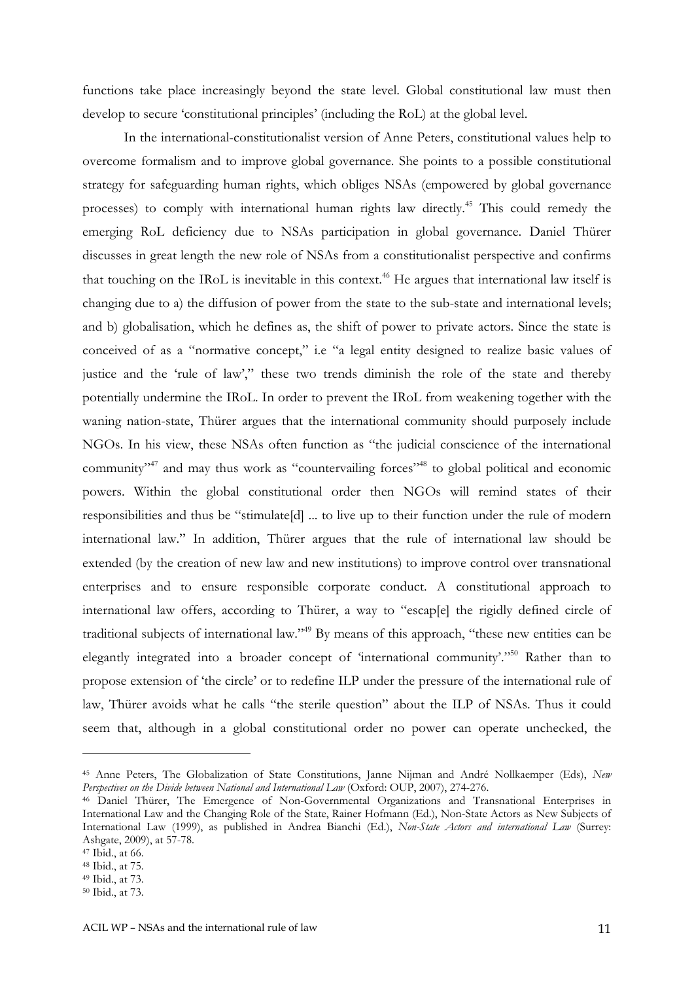functions take place increasingly beyond the state level. Global constitutional law must then develop to secure 'constitutional principles' (including the RoL) at the global level.

In the international-constitutionalist version of Anne Peters, constitutional values help to overcome formalism and to improve global governance. She points to a possible constitutional strategy for safeguarding human rights, which obliges NSAs (empowered by global governance processes) to comply with international human rights law directly.45 This could remedy the emerging RoL deficiency due to NSAs participation in global governance. Daniel Thürer discusses in great length the new role of NSAs from a constitutionalist perspective and confirms that touching on the IRoL is inevitable in this context.<sup>46</sup> He argues that international law itself is changing due to a) the diffusion of power from the state to the sub-state and international levels; and b) globalisation, which he defines as, the shift of power to private actors. Since the state is conceived of as a "normative concept," i.e "a legal entity designed to realize basic values of justice and the 'rule of law'," these two trends diminish the role of the state and thereby potentially undermine the IRoL. In order to prevent the IRoL from weakening together with the waning nation-state, Thürer argues that the international community should purposely include NGOs. In his view, these NSAs often function as "the judicial conscience of the international community<sup>"47</sup> and may thus work as "countervailing forces<sup>"48</sup> to global political and economic powers. Within the global constitutional order then NGOs will remind states of their responsibilities and thus be "stimulate[d] ... to live up to their function under the rule of modern international law." In addition, Thürer argues that the rule of international law should be extended (by the creation of new law and new institutions) to improve control over transnational enterprises and to ensure responsible corporate conduct. A constitutional approach to international law offers, according to Thürer, a way to "escap[e] the rigidly defined circle of traditional subjects of international law."49 By means of this approach, "these new entities can be elegantly integrated into a broader concept of 'international community'."50 Rather than to propose extension of 'the circle' or to redefine ILP under the pressure of the international rule of law, Thürer avoids what he calls "the sterile question" about the ILP of NSAs. Thus it could seem that, although in a global constitutional order no power can operate unchecked, the

<sup>45</sup> Anne Peters, The Globalization of State Constitutions, Janne Nijman and André Nollkaemper (Eds), *New* 

<sup>&</sup>lt;sup>46</sup> Daniel Thürer, The Emergence of Non-Governmental Organizations and Transnational Enterprises in International Law and the Changing Role of the State, Rainer Hofmann (Ed.), Non-State Actors as New Subjects of International Law (1999), as published in Andrea Bianchi (Ed.), *Non-State Actors and international Law* (Surrey: Ashgate, 2009), at 57-78.

<sup>47</sup> Ibid., at 66.

<sup>48</sup> Ibid., at 75.

<sup>49</sup> Ibid., at 73.

<sup>50</sup> Ibid., at 73.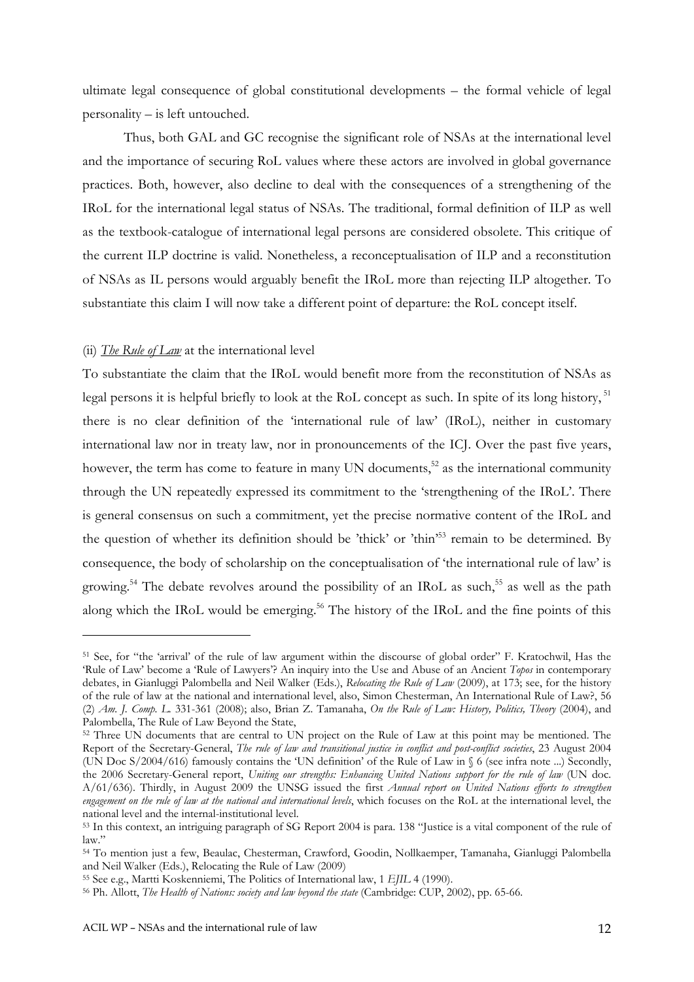ultimate legal consequence of global constitutional developments – the formal vehicle of legal personality – is left untouched.

 Thus, both GAL and GC recognise the significant role of NSAs at the international level and the importance of securing RoL values where these actors are involved in global governance practices. Both, however, also decline to deal with the consequences of a strengthening of the IRoL for the international legal status of NSAs. The traditional, formal definition of ILP as well as the textbook-catalogue of international legal persons are considered obsolete. This critique of the current ILP doctrine is valid. Nonetheless, a reconceptualisation of ILP and a reconstitution of NSAs as IL persons would arguably benefit the IRoL more than rejecting ILP altogether. To substantiate this claim I will now take a different point of departure: the RoL concept itself.

## (ii) *The Rule of Law* at the international level

<u>.</u>

To substantiate the claim that the IRoL would benefit more from the reconstitution of NSAs as legal persons it is helpful briefly to look at the RoL concept as such. In spite of its long history, <sup>51</sup> there is no clear definition of the 'international rule of law' (IRoL), neither in customary international law nor in treaty law, nor in pronouncements of the ICJ. Over the past five years, however, the term has come to feature in many UN documents,  $52$  as the international community through the UN repeatedly expressed its commitment to the 'strengthening of the IRoL'. There is general consensus on such a commitment, yet the precise normative content of the IRoL and the question of whether its definition should be 'thick' or 'thin'<sup>53</sup> remain to be determined. By consequence, the body of scholarship on the conceptualisation of 'the international rule of law' is growing.54 The debate revolves around the possibility of an IRoL as such,55 as well as the path along which the IRoL would be emerging.<sup>56</sup> The history of the IRoL and the fine points of this

<sup>51</sup> See, for "the 'arrival' of the rule of law argument within the discourse of global order" F. Kratochwil, Has the 'Rule of Law' become a 'Rule of Lawyers'? An inquiry into the Use and Abuse of an Ancient *Topos* in contemporary debates, in Gianluggi Palombella and Neil Walker (Eds.), *Relocating the Rule of Law* (2009), at 173; see, for the history of the rule of law at the national and international level, also, Simon Chesterman, An International Rule of Law?, 56 (2) *Am. J. Comp. L.* 331-361 (2008); also, Brian Z. Tamanaha, *On the Rule of Law: History, Politics, Theory* (2004), and Palombella, The Rule of Law Beyond the State,

<sup>52</sup> Three UN documents that are central to UN project on the Rule of Law at this point may be mentioned. The Report of the Secretary-General, *The rule of law and transitional justice in conflict and post-conflict societies*, 23 August 2004 (UN Doc S/2004/616) famously contains the 'UN definition' of the Rule of Law in § 6 (see infra note ...) Secondly, the 2006 Secretary-General report, *Uniting our strengths: Enhancing United Nations support for the rule of law* (UN doc. A/61/636). Thirdly, in August 2009 the UNSG issued the first *Annual report on United Nations efforts to strengthen engagement on the rule of law at the national and international levels*, which focuses on the RoL at the international level, the national level and the internal-institutional level.

<sup>53</sup> In this context, an intriguing paragraph of SG Report 2004 is para. 138 "Justice is a vital component of the rule of law."

<sup>54</sup> To mention just a few, Beaulac, Chesterman, Crawford, Goodin, Nollkaemper, Tamanaha, Gianluggi Palombella and Neil Walker (Eds.), Relocating the Rule of Law (2009)<br><sup>55</sup> See e.g., Martti Koskenniemi, The Politics of International law, 1 *EJIL* 4 (1990).<br><sup>56</sup> Ph. Allott, *The Health of Nations: society and law beyond the state*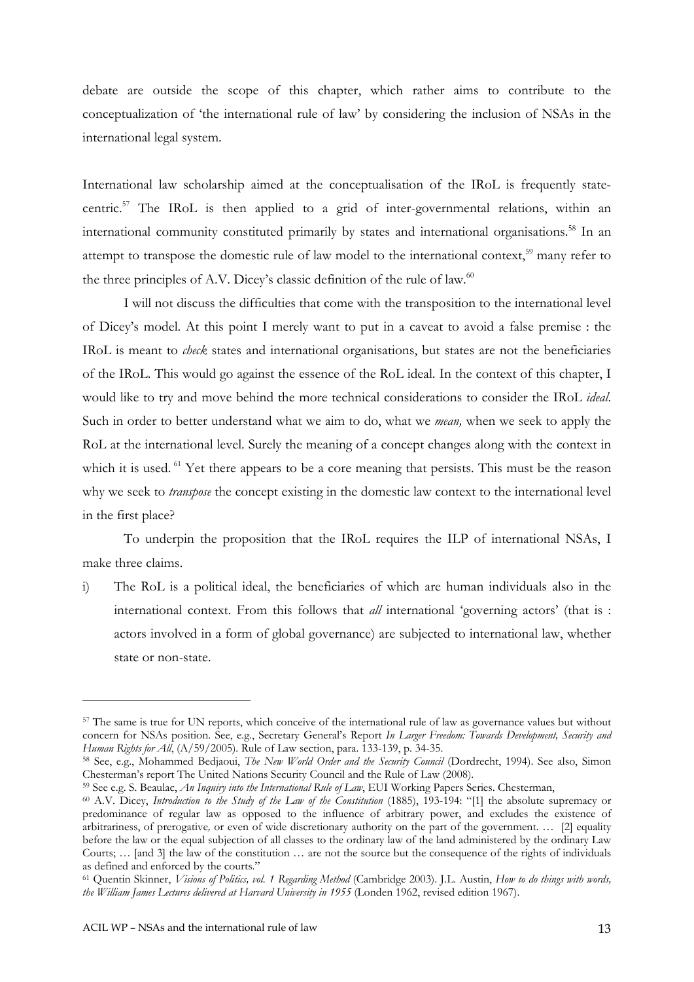debate are outside the scope of this chapter, which rather aims to contribute to the conceptualization of 'the international rule of law' by considering the inclusion of NSAs in the international legal system.

International law scholarship aimed at the conceptualisation of the IRoL is frequently statecentric.<sup>57</sup> The IRoL is then applied to a grid of inter-governmental relations, within an international community constituted primarily by states and international organisations.<sup>58</sup> In an attempt to transpose the domestic rule of law model to the international context,<sup>59</sup> many refer to the three principles of A.V. Dicey's classic definition of the rule of law.<sup>60</sup>

 I will not discuss the difficulties that come with the transposition to the international level of Dicey's model. At this point I merely want to put in a caveat to avoid a false premise : the IRoL is meant to *check* states and international organisations, but states are not the beneficiaries of the IRoL. This would go against the essence of the RoL ideal. In the context of this chapter, I would like to try and move behind the more technical considerations to consider the IRoL *ideal*. Such in order to better understand what we aim to do, what we *mean,* when we seek to apply the RoL at the international level. Surely the meaning of a concept changes along with the context in which it is used. <sup>61</sup> Yet there appears to be a core meaning that persists. This must be the reason why we seek to *transpose* the concept existing in the domestic law context to the international level in the first place?

 To underpin the proposition that the IRoL requires the ILP of international NSAs, I make three claims.

i) The RoL is a political ideal, the beneficiaries of which are human individuals also in the international context. From this follows that *all* international 'governing actors' (that is : actors involved in a form of global governance) are subjected to international law, whether state or non-state.

<sup>&</sup>lt;sup>57</sup> The same is true for UN reports, which conceive of the international rule of law as governance values but without concern for NSAs position. See, e.g., Secretary General's Report *In Larger Freedom: Towards Development, Security and* 

<sup>&</sup>lt;sup>58</sup> See, e.g., Mohammed Bedjaoui, *The New World Order and the Security Council* (Dordrecht, 1994). See also, Simon Chesterman's report The United Nations Security Council and the Rule of Law (2008).<br><sup>59</sup> See e.g. S. Beaulac, *An Inquiry into the International Rule of Law*, EUI Working Papers Series. Chesterman,<br><sup>60</sup> A.V. Dicey, *Introd* 

predominance of regular law as opposed to the influence of arbitrary power, and excludes the existence of arbitrariness, of prerogative*,* or even of wide discretionary authority on the part of the government. … [2] equality before the law or the equal subjection of all classes to the ordinary law of the land administered by the ordinary Law Courts; … [and 3] the law of the constitution … are not the source but the consequence of the rights of individuals as defined and enforced by the courts."

<sup>61</sup> Quentin Skinner, *Visions of Politics, vol. 1 Regarding Method* (Cambridge 2003). J.L. Austin, *How to do things with words, the William James Lectures delivered at Harvard University in 1955* (Londen 1962, revised edition 1967).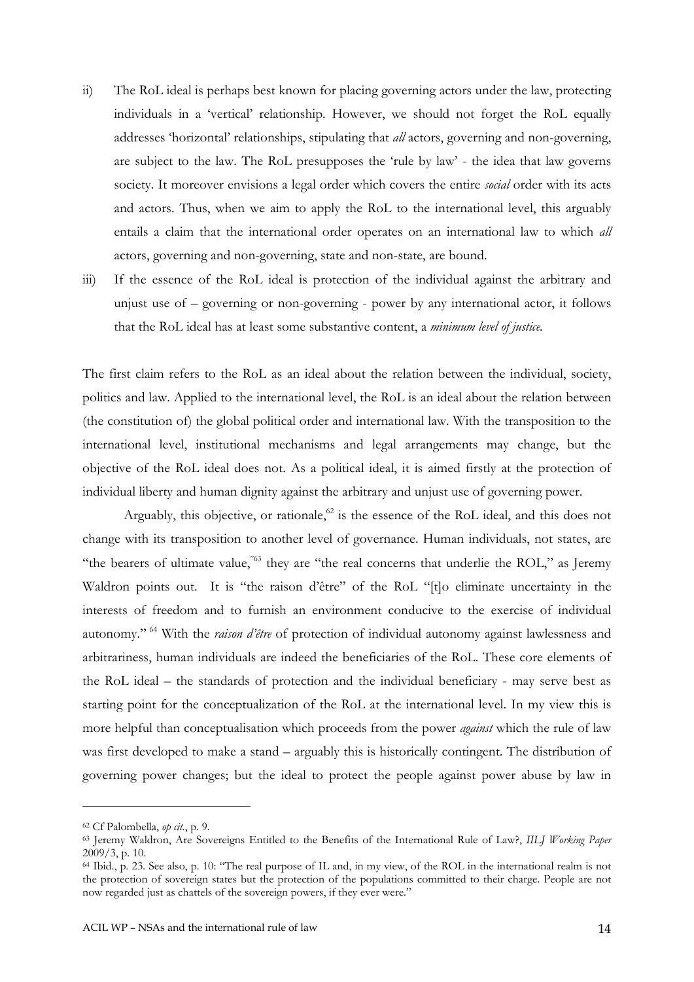- ii) The RoL ideal is perhaps best known for placing governing actors under the law, protecting individuals in a 'vertical' relationship. However, we should not forget the RoL equally addresses 'horizontal' relationships, stipulating that *all* actors, governing and non-governing, are subject to the law. The RoL presupposes the 'rule by law' - the idea that law governs society. It moreover envisions a legal order which covers the entire *social* order with its acts and actors. Thus, when we aim to apply the RoL to the international level, this arguably entails a claim that the international order operates on an international law to which *all* actors, governing and non-governing, state and non-state, are bound.
- iii) If the essence of the RoL ideal is protection of the individual against the arbitrary and unjust use of – governing or non-governing - power by any international actor, it follows that the RoL ideal has at least some substantive content, a *minimum level of justice.*

The first claim refers to the RoL as an ideal about the relation between the individual, society, politics and law. Applied to the international level, the RoL is an ideal about the relation between (the constitution of) the global political order and international law. With the transposition to the international level, institutional mechanisms and legal arrangements may change, but the objective of the RoL ideal does not. As a political ideal, it is aimed firstly at the protection of individual liberty and human dignity against the arbitrary and unjust use of governing power.

Arguably, this objective, or rationale, $62$  is the essence of the RoL ideal, and this does not change with its transposition to another level of governance. Human individuals, not states, are "the bearers of ultimate value,"<sup>63</sup> they are "the real concerns that underlie the ROL," as Jeremy Waldron points out. It is "the raison d'être" of the RoL "[t]o eliminate uncertainty in the interests of freedom and to furnish an environment conducive to the exercise of individual autonomy." 64 With the *raison d'être* of protection of individual autonomy against lawlessness and arbitrariness, human individuals are indeed the beneficiaries of the RoL. These core elements of the RoL ideal – the standards of protection and the individual beneficiary - may serve best as starting point for the conceptualization of the RoL at the international level. In my view this is more helpful than conceptualisation which proceeds from the power *against* which the rule of law was first developed to make a stand – arguably this is historically contingent. The distribution of governing power changes; but the ideal to protect the people against power abuse by law in

<sup>&</sup>lt;sup>62</sup> Cf Palombella, *op cit.*, p. 9.<br><sup>63</sup> Jeremy Waldron, Are Sovereigns Entitled to the Benefits of the International Rule of Law?, *IILJ Working Paper* 2009/3, p. 10.

<sup>64</sup> Ibid., p. 23. See also, p. 10: "The real purpose of IL and, in my view, of the ROL in the international realm is not the protection of sovereign states but the protection of the populations committed to their charge. People are not now regarded just as chattels of the sovereign powers, if they ever were."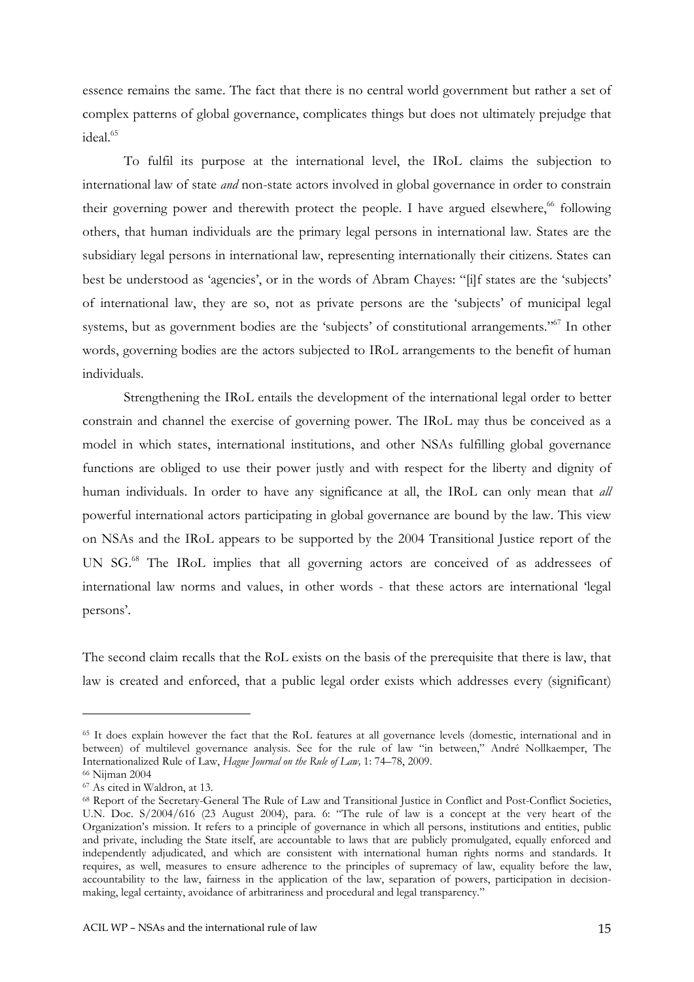essence remains the same. The fact that there is no central world government but rather a set of complex patterns of global governance, complicates things but does not ultimately prejudge that ideal.<sup>65</sup>

To fulfil its purpose at the international level, the IRoL claims the subjection to international law of state *and* non-state actors involved in global governance in order to constrain their governing power and therewith protect the people. I have argued elsewhere,<sup>66</sup> following others, that human individuals are the primary legal persons in international law. States are the subsidiary legal persons in international law, representing internationally their citizens. States can best be understood as 'agencies', or in the words of Abram Chayes: "[i]f states are the 'subjects' of international law, they are so, not as private persons are the 'subjects' of municipal legal systems, but as government bodies are the 'subjects' of constitutional arrangements."<sup>67</sup> In other words, governing bodies are the actors subjected to IRoL arrangements to the benefit of human individuals.

Strengthening the IRoL entails the development of the international legal order to better constrain and channel the exercise of governing power. The IRoL may thus be conceived as a model in which states, international institutions, and other NSAs fulfilling global governance functions are obliged to use their power justly and with respect for the liberty and dignity of human individuals. In order to have any significance at all, the IRoL can only mean that *all* powerful international actors participating in global governance are bound by the law. This view on NSAs and the IRoL appears to be supported by the 2004 Transitional Justice report of the UN SG.<sup>68</sup> The IRoL implies that all governing actors are conceived of as addressees of international law norms and values, in other words - that these actors are international 'legal persons'.

The second claim recalls that the RoL exists on the basis of the prerequisite that there is law, that law is created and enforced, that a public legal order exists which addresses every (significant)

<sup>65</sup> It does explain however the fact that the RoL features at all governance levels (domestic, international and in between) of multilevel governance analysis. See for the rule of law "in between," André Nollkaemper, The Internationalized Rule of Law, *Hague Journal on the Rule of Law,* 1: 74–78, 2009. 66 Nijman 2004

<sup>67</sup> As cited in Waldron, at 13.

<sup>68</sup> Report of the Secretary-General The Rule of Law and Transitional Justice in Conflict and Post-Conflict Societies, U.N. Doc. S/2004/616 (23 August 2004), para. 6: "The rule of law is a concept at the very heart of the Organization's mission. It refers to a principle of governance in which all persons, institutions and entities, public and private, including the State itself, are accountable to laws that are publicly promulgated, equally enforced and independently adjudicated, and which are consistent with international human rights norms and standards. It requires, as well, measures to ensure adherence to the principles of supremacy of law, equality before the law, accountability to the law, fairness in the application of the law, separation of powers, participation in decisionmaking, legal certainty, avoidance of arbitrariness and procedural and legal transparency."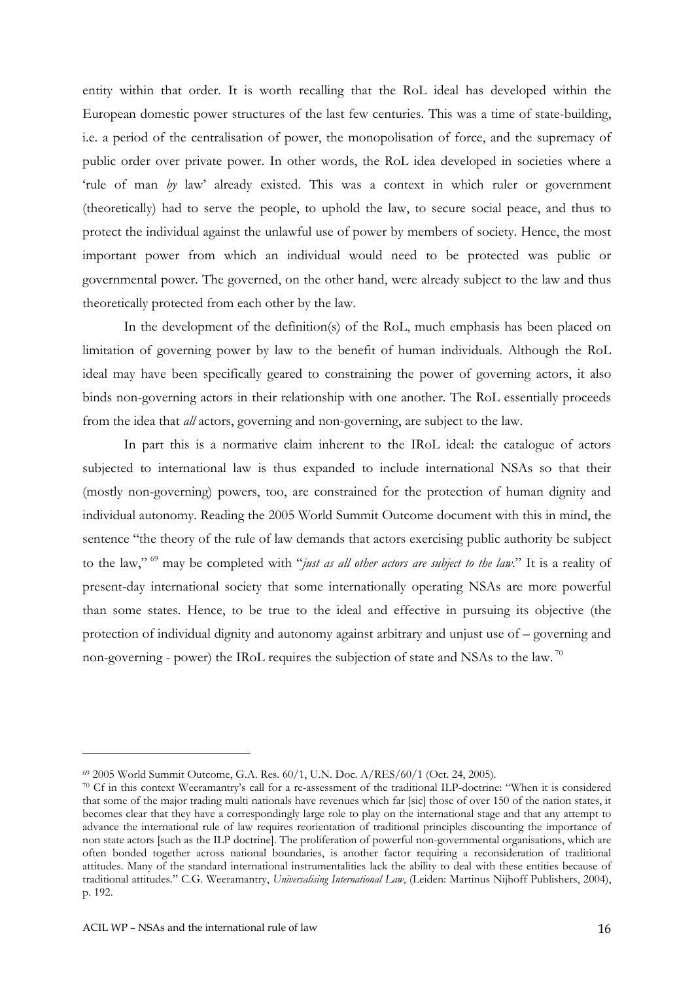entity within that order. It is worth recalling that the RoL ideal has developed within the European domestic power structures of the last few centuries. This was a time of state-building, i.e. a period of the centralisation of power, the monopolisation of force, and the supremacy of public order over private power. In other words, the RoL idea developed in societies where a 'rule of man *by* law' already existed. This was a context in which ruler or government (theoretically) had to serve the people, to uphold the law, to secure social peace, and thus to protect the individual against the unlawful use of power by members of society. Hence, the most important power from which an individual would need to be protected was public or governmental power. The governed, on the other hand, were already subject to the law and thus theoretically protected from each other by the law.

In the development of the definition(s) of the RoL, much emphasis has been placed on limitation of governing power by law to the benefit of human individuals. Although the RoL ideal may have been specifically geared to constraining the power of governing actors, it also binds non-governing actors in their relationship with one another. The RoL essentially proceeds from the idea that *all* actors, governing and non-governing, are subject to the law.

In part this is a normative claim inherent to the IRoL ideal: the catalogue of actors subjected to international law is thus expanded to include international NSAs so that their (mostly non-governing) powers, too, are constrained for the protection of human dignity and individual autonomy. Reading the 2005 World Summit Outcome document with this in mind, the sentence "the theory of the rule of law demands that actors exercising public authority be subject to the law," 69 may be completed with "*just as all other actors are subject to the law*." It is a reality of present-day international society that some internationally operating NSAs are more powerful than some states. Hence, to be true to the ideal and effective in pursuing its objective (the protection of individual dignity and autonomy against arbitrary and unjust use of – governing and non-governing - power) the IRoL requires the subjection of state and NSAs to the law.<sup>70</sup>

<sup>&</sup>lt;sup>69</sup> 2005 World Summit Outcome, G.A. Res.  $60/1$ , U.N. Doc.  $A/RES/60/1$  (Oct. 24, 2005).<br><sup>70</sup> Cf in this context Weeramantry's call for a re-assessment of the traditional ILP-doctrine: "When it is considered

that some of the major trading multi nationals have revenues which far [sic] those of over 150 of the nation states, it becomes clear that they have a correspondingly large role to play on the international stage and that any attempt to advance the international rule of law requires reorientation of traditional principles discounting the importance of non state actors [such as the ILP doctrine]. The proliferation of powerful non-governmental organisations, which are often bonded together across national boundaries, is another factor requiring a reconsideration of traditional attitudes. Many of the standard international instrumentalities lack the ability to deal with these entities because of traditional attitudes." C.G. Weeramantry, *Universalising International Law*, (Leiden: Martinus Nijhoff Publishers, 2004), p. 192.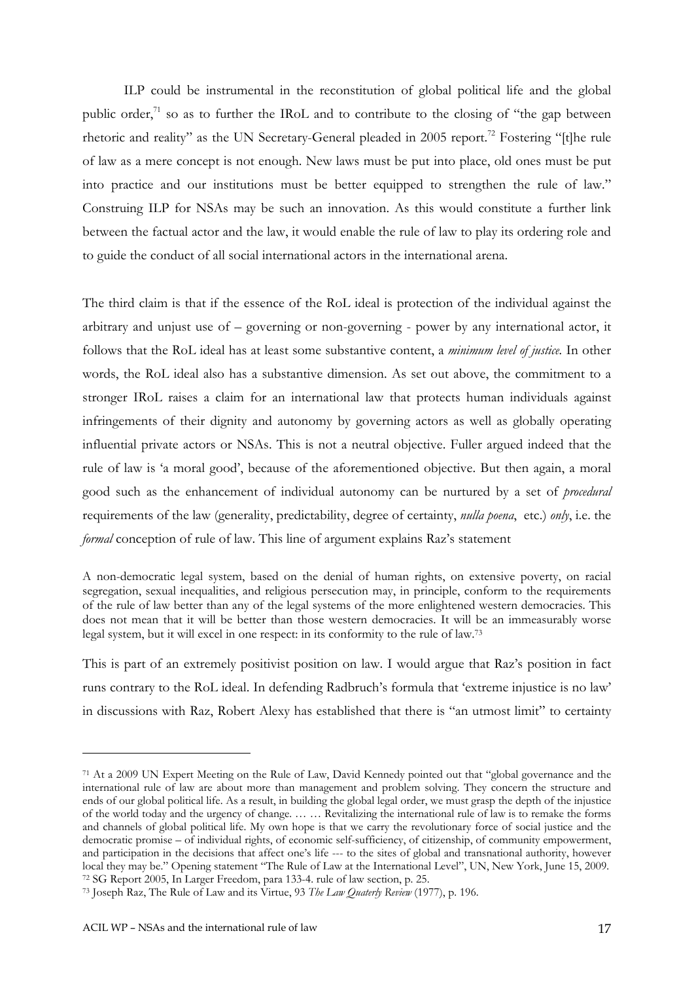ILP could be instrumental in the reconstitution of global political life and the global public order, $71$  so as to further the IRoL and to contribute to the closing of "the gap between rhetoric and reality" as the UN Secretary-General pleaded in 2005 report.<sup>72</sup> Fostering "[t]he rule of law as a mere concept is not enough. New laws must be put into place, old ones must be put into practice and our institutions must be better equipped to strengthen the rule of law." Construing ILP for NSAs may be such an innovation. As this would constitute a further link between the factual actor and the law, it would enable the rule of law to play its ordering role and to guide the conduct of all social international actors in the international arena.

The third claim is that if the essence of the RoL ideal is protection of the individual against the arbitrary and unjust use of – governing or non-governing - power by any international actor, it follows that the RoL ideal has at least some substantive content, a *minimum level of justice.* In other words, the RoL ideal also has a substantive dimension. As set out above, the commitment to a stronger IRoL raises a claim for an international law that protects human individuals against infringements of their dignity and autonomy by governing actors as well as globally operating influential private actors or NSAs. This is not a neutral objective. Fuller argued indeed that the rule of law is 'a moral good', because of the aforementioned objective. But then again, a moral good such as the enhancement of individual autonomy can be nurtured by a set of *procedural* requirements of the law (generality, predictability, degree of certainty, *nulla poena*, etc.) *only*, i.e. the *formal* conception of rule of law. This line of argument explains Raz's statement

A non-democratic legal system, based on the denial of human rights, on extensive poverty, on racial segregation, sexual inequalities, and religious persecution may, in principle, conform to the requirements of the rule of law better than any of the legal systems of the more enlightened western democracies. This does not mean that it will be better than those western democracies. It will be an immeasurably worse legal system, but it will excel in one respect: in its conformity to the rule of law.73

This is part of an extremely positivist position on law. I would argue that Raz's position in fact runs contrary to the RoL ideal. In defending Radbruch's formula that 'extreme injustice is no law' in discussions with Raz, Robert Alexy has established that there is "an utmost limit" to certainty

<sup>71</sup> At a 2009 UN Expert Meeting on the Rule of Law, David Kennedy pointed out that "global governance and the international rule of law are about more than management and problem solving. They concern the structure and ends of our global political life. As a result, in building the global legal order, we must grasp the depth of the injustice of the world today and the urgency of change. … … Revitalizing the international rule of law is to remake the forms and channels of global political life. My own hope is that we carry the revolutionary force of social justice and the democratic promise – of individual rights, of economic self-sufficiency, of citizenship, of community empowerment, and participation in the decisions that affect one's life --- to the sites of global and transnational authority, however local they may be." Opening statement "The Rule of Law at the International Level", UN, New York, June 15, 2009.<br><sup>72</sup> SG Report 2005, In Larger Freedom, para 133-4. rule of law section, p. 25.<br><sup>73</sup> Joseph Raz, The Rule of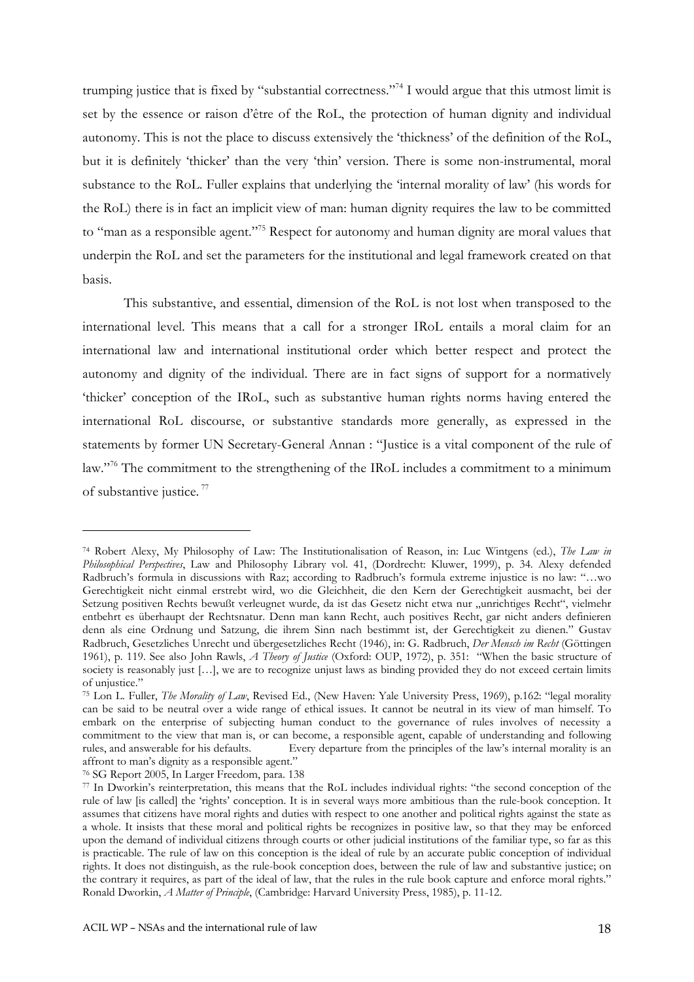trumping justice that is fixed by "substantial correctness."74 I would argue that this utmost limit is set by the essence or raison d'être of the RoL, the protection of human dignity and individual autonomy. This is not the place to discuss extensively the 'thickness' of the definition of the RoL, but it is definitely 'thicker' than the very 'thin' version. There is some non-instrumental, moral substance to the RoL. Fuller explains that underlying the 'internal morality of law' (his words for the RoL) there is in fact an implicit view of man: human dignity requires the law to be committed to "man as a responsible agent."<sup>75</sup> Respect for autonomy and human dignity are moral values that underpin the RoL and set the parameters for the institutional and legal framework created on that basis.

 This substantive, and essential, dimension of the RoL is not lost when transposed to the international level. This means that a call for a stronger IRoL entails a moral claim for an international law and international institutional order which better respect and protect the autonomy and dignity of the individual. There are in fact signs of support for a normatively 'thicker' conception of the IRoL, such as substantive human rights norms having entered the international RoL discourse, or substantive standards more generally, as expressed in the statements by former UN Secretary-General Annan : "Justice is a vital component of the rule of law."76 The commitment to the strengthening of the IRoL includes a commitment to a minimum of substantive justice. 77

<sup>74</sup> Robert Alexy, My Philosophy of Law: The Institutionalisation of Reason, in: Luc Wintgens (ed.), *The Law in Philosophical Perspectives*, Law and Philosophy Library vol. 41, (Dordrecht: Kluwer, 1999), p. 34. Alexy defended Radbruch's formula in discussions with Raz; according to Radbruch's formula extreme injustice is no law: "…wo Gerechtigkeit nicht einmal erstrebt wird, wo die Gleichheit, die den Kern der Gerechtigkeit ausmacht, bei der Setzung positiven Rechts bewußt verleugnet wurde, da ist das Gesetz nicht etwa nur "unrichtiges Recht", vielmehr entbehrt es überhaupt der Rechtsnatur. Denn man kann Recht, auch positives Recht, gar nicht anders definieren denn als eine Ordnung und Satzung, die ihrem Sinn nach bestimmt ist, der Gerechtigkeit zu dienen." Gustav Radbruch, Gesetzliches Unrecht und übergesetzliches Recht (1946), in: G. Radbruch, *Der Mensch im Recht* (Göttingen 1961), p. 119. See also John Rawls, *A Theory of Justice* (Oxford: OUP, 1972), p. 351: "When the basic structure of society is reasonably just [...], we are to recognize unjust laws as binding provided they do not exceed certain limits of unjustice."

<sup>75</sup> Lon L. Fuller, *The Morality of Law*, Revised Ed., (New Haven: Yale University Press, 1969), p.162: "legal morality can be said to be neutral over a wide range of ethical issues. It cannot be neutral in its view of man himself. To embark on the enterprise of subjecting human conduct to the governance of rules involves of necessity a commitment to the view that man is, or can become, a responsible agent, capable of understanding and following rules, and answerable for his defaults. Every departure from the principles of the law's internal morality is an affront to man's dignity as a responsible agent."

<sup>76</sup> SG Report 2005, In Larger Freedom, para. 138

<sup>77</sup> In Dworkin's reinterpretation, this means that the RoL includes individual rights: "the second conception of the rule of law [is called] the 'rights' conception. It is in several ways more ambitious than the rule-book conception. It assumes that citizens have moral rights and duties with respect to one another and political rights against the state as a whole. It insists that these moral and political rights be recognizes in positive law, so that they may be enforced upon the demand of individual citizens through courts or other judicial institutions of the familiar type, so far as this is practicable. The rule of law on this conception is the ideal of rule by an accurate public conception of individual rights. It does not distinguish, as the rule-book conception does, between the rule of law and substantive justice; on the contrary it requires, as part of the ideal of law, that the rules in the rule book capture and enforce moral rights." Ronald Dworkin, *A Matter of Principle*, (Cambridge: Harvard University Press, 1985), p. 11-12.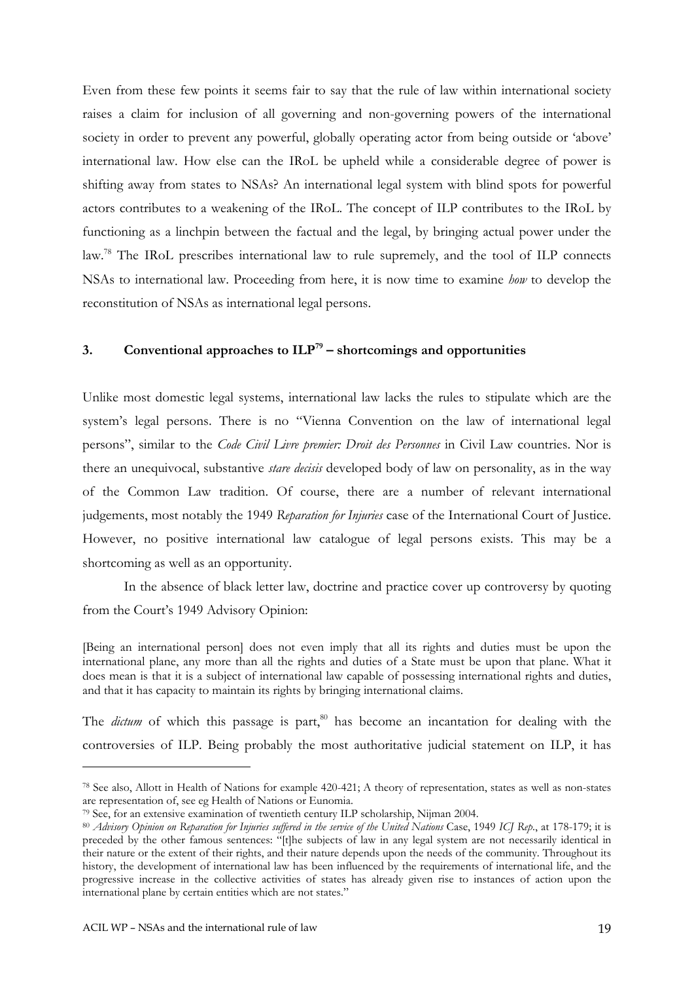Even from these few points it seems fair to say that the rule of law within international society raises a claim for inclusion of all governing and non-governing powers of the international society in order to prevent any powerful, globally operating actor from being outside or 'above' international law. How else can the IRoL be upheld while a considerable degree of power is shifting away from states to NSAs? An international legal system with blind spots for powerful actors contributes to a weakening of the IRoL. The concept of ILP contributes to the IRoL by functioning as a linchpin between the factual and the legal, by bringing actual power under the law.<sup>78</sup> The IRoL prescribes international law to rule supremely, and the tool of ILP connects NSAs to international law. Proceeding from here, it is now time to examine *how* to develop the reconstitution of NSAs as international legal persons.

## **3. Conventional approaches to ILP79 – shortcomings and opportunities**

Unlike most domestic legal systems, international law lacks the rules to stipulate which are the system's legal persons. There is no "Vienna Convention on the law of international legal persons", similar to the *Code Civil Livre premier: Droit des Personnes* in Civil Law countries. Nor is there an unequivocal, substantive *stare decisis* developed body of law on personality, as in the way of the Common Law tradition. Of course, there are a number of relevant international judgements, most notably the 1949 *Reparation for Injuries* case of the International Court of Justice. However, no positive international law catalogue of legal persons exists. This may be a shortcoming as well as an opportunity.

 In the absence of black letter law, doctrine and practice cover up controversy by quoting from the Court's 1949 Advisory Opinion:

[Being an international person] does not even imply that all its rights and duties must be upon the international plane, any more than all the rights and duties of a State must be upon that plane. What it does mean is that it is a subject of international law capable of possessing international rights and duties, and that it has capacity to maintain its rights by bringing international claims.

The *dictum* of which this passage is part,<sup>80</sup> has become an incantation for dealing with the controversies of ILP. Being probably the most authoritative judicial statement on ILP, it has

<sup>78</sup> See also, Allott in Health of Nations for example 420-421; A theory of representation, states as well as non-states are representation of, see eg Health of Nations or Eunomia.

<sup>&</sup>lt;sup>79</sup> See, for an extensive examination of twentieth century ILP scholarship, Nijman 2004.<br><sup>80</sup> Advisory Opinion on Reparation for Injuries suffered in the service of the United Nations Case, 1949 ICJ Rep., at 178-179; it i preceded by the other famous sentences: "[t]he subjects of law in any legal system are not necessarily identical in their nature or the extent of their rights, and their nature depends upon the needs of the community. Throughout its history, the development of international law has been influenced by the requirements of international life, and the progressive increase in the collective activities of states has already given rise to instances of action upon the international plane by certain entities which are not states."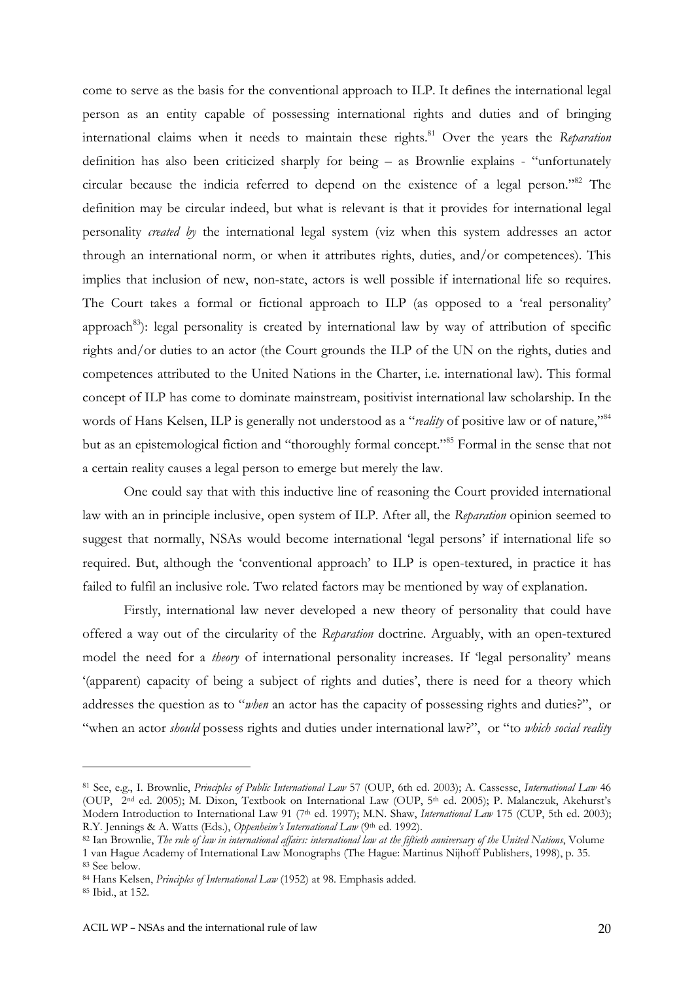come to serve as the basis for the conventional approach to ILP. It defines the international legal person as an entity capable of possessing international rights and duties and of bringing international claims when it needs to maintain these rights.<sup>81</sup> Over the years the *Reparation* definition has also been criticized sharply for being – as Brownlie explains - "unfortunately circular because the indicia referred to depend on the existence of a legal person."82 The definition may be circular indeed, but what is relevant is that it provides for international legal personality *created by* the international legal system (viz when this system addresses an actor through an international norm, or when it attributes rights, duties, and/or competences). This implies that inclusion of new, non-state, actors is well possible if international life so requires. The Court takes a formal or fictional approach to ILP (as opposed to a 'real personality' approach<sup>83</sup>): legal personality is created by international law by way of attribution of specific rights and/or duties to an actor (the Court grounds the ILP of the UN on the rights, duties and competences attributed to the United Nations in the Charter, i.e. international law). This formal concept of ILP has come to dominate mainstream, positivist international law scholarship. In the words of Hans Kelsen, ILP is generally not understood as a "*reality* of positive law or of nature,"<sup>84</sup> but as an epistemological fiction and "thoroughly formal concept."<sup>85</sup> Formal in the sense that not a certain reality causes a legal person to emerge but merely the law.

 One could say that with this inductive line of reasoning the Court provided international law with an in principle inclusive, open system of ILP. After all, the *Reparation* opinion seemed to suggest that normally, NSAs would become international 'legal persons' if international life so required. But, although the 'conventional approach' to ILP is open-textured, in practice it has failed to fulfil an inclusive role. Two related factors may be mentioned by way of explanation.

 Firstly, international law never developed a new theory of personality that could have offered a way out of the circularity of the *Reparation* doctrine. Arguably, with an open-textured model the need for a *theory* of international personality increases. If 'legal personality' means '(apparent) capacity of being a subject of rights and duties', there is need for a theory which addresses the question as to "*when* an actor has the capacity of possessing rights and duties?", or "when an actor *should* possess rights and duties under international law?", or "to *which social reality*

<sup>81</sup> See, e.g., I. Brownlie, *Principles of Public International Law* 57 (OUP, 6th ed. 2003); A. Cassesse, *International Law* 46 (OUP, 2nd ed. 2005); M. Dixon, Textbook on International Law (OUP, 5th ed. 2005); P. Malanczuk, Akehurst's Modern Introduction to International Law 91 (7<sup>th</sup> ed. 1997); M.N. Shaw, *International Law* 175 (CUP, 5th ed. 2003); R.Y. Jennings & A. Watts (Eds.), *Oppenheim's International Law* (9<sup>th</sup> ed. 1992).

<sup>82</sup> Ian Brownlie, The rule of law in international affairs: international law at the fiftieth anniversary of the United Nations, Volume 1 van Hague Academy of International Law Monographs (The Hague: Martinus Nijhoff Publishers, 1998), p. 35. 83 See below.

<sup>84</sup> Hans Kelsen, *Principles of International Law* (1952) at 98. Emphasis added. 85 Ibid., at 152.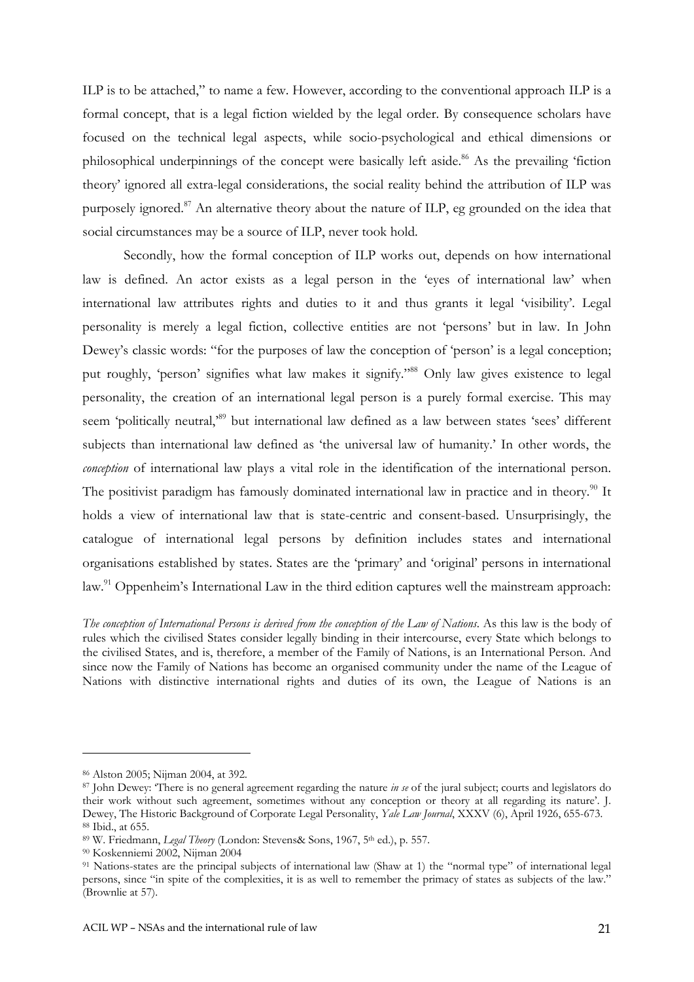ILP is to be attached," to name a few. However, according to the conventional approach ILP is a formal concept, that is a legal fiction wielded by the legal order. By consequence scholars have focused on the technical legal aspects, while socio-psychological and ethical dimensions or philosophical underpinnings of the concept were basically left aside.<sup>86</sup> As the prevailing 'fiction theory' ignored all extra-legal considerations, the social reality behind the attribution of ILP was purposely ignored.87 An alternative theory about the nature of ILP, eg grounded on the idea that social circumstances may be a source of ILP, never took hold.

 Secondly, how the formal conception of ILP works out, depends on how international law is defined. An actor exists as a legal person in the 'eyes of international law' when international law attributes rights and duties to it and thus grants it legal 'visibility'. Legal personality is merely a legal fiction, collective entities are not 'persons' but in law. In John Dewey's classic words: "for the purposes of law the conception of 'person' is a legal conception; put roughly, 'person' signifies what law makes it signify."<sup>88</sup> Only law gives existence to legal personality, the creation of an international legal person is a purely formal exercise. This may seem 'politically neutral,<sup>89</sup> but international law defined as a law between states 'sees' different subjects than international law defined as 'the universal law of humanity.' In other words, the *conception* of international law plays a vital role in the identification of the international person. The positivist paradigm has famously dominated international law in practice and in theory.<sup>90</sup> It holds a view of international law that is state-centric and consent-based. Unsurprisingly, the catalogue of international legal persons by definition includes states and international organisations established by states. States are the 'primary' and 'original' persons in international law.<sup>91</sup> Oppenheim's International Law in the third edition captures well the mainstream approach:

*The conception of International Persons is derived from the conception of the Law of Nations*. As this law is the body of rules which the civilised States consider legally binding in their intercourse, every State which belongs to the civilised States, and is, therefore, a member of the Family of Nations, is an International Person. And since now the Family of Nations has become an organised community under the name of the League of Nations with distinctive international rights and duties of its own, the League of Nations is an

<sup>86</sup> Alston 2005; Nijman 2004, at 392.

<sup>87</sup> John Dewey: 'There is no general agreement regarding the nature *in se* of the jural subject; courts and legislators do their work without such agreement, sometimes without any conception or theory at all regarding its nature'. J. Dewey, The Historic Background of Corporate Legal Personality, *Yale Law Journal*, XXXV (6), April 1926, 655-673.<sup>88</sup> Ibid., at 655.

<sup>&</sup>lt;sup>89</sup> W. Friedmann, *Legal Theory* (London: Stevens& Sons, 1967, 5<sup>th</sup> ed.), p. 557.<br><sup>90</sup> Koskenniemi 2002, Nijman 2004

<sup>&</sup>lt;sup>91</sup> Nations-states are the principal subjects of international law (Shaw at 1) the "normal type" of international legal persons, since "in spite of the complexities, it is as well to remember the primacy of states as subjects of the law." (Brownlie at 57).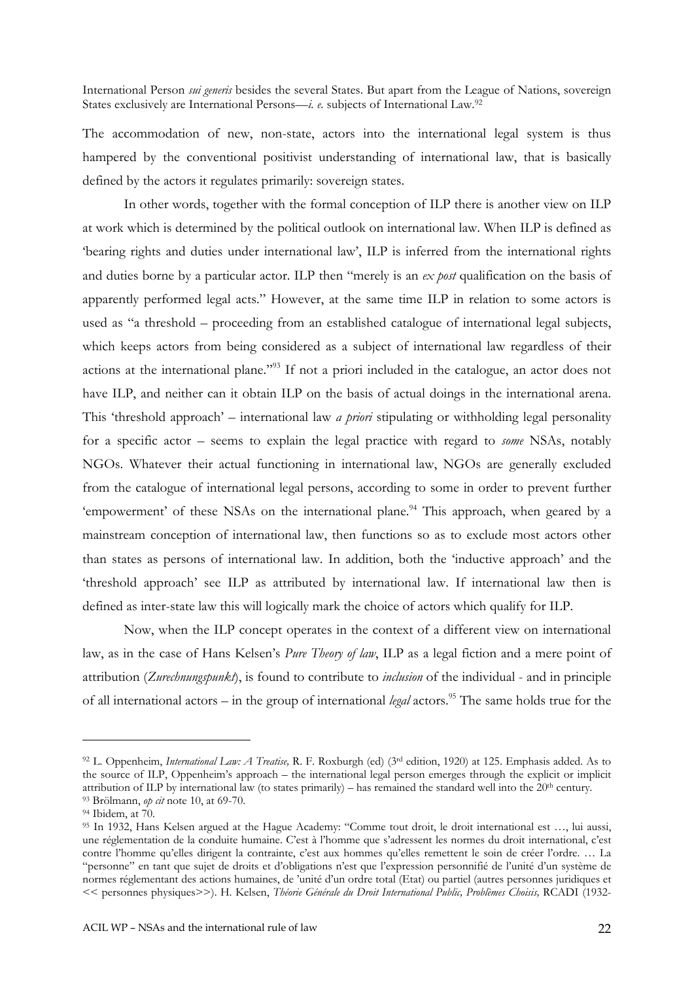International Person *sui generis* besides the several States. But apart from the League of Nations, sovereign States exclusively are International Persons—*i. e.* subjects of International Law.92

The accommodation of new, non-state, actors into the international legal system is thus hampered by the conventional positivist understanding of international law, that is basically defined by the actors it regulates primarily: sovereign states.

 In other words, together with the formal conception of ILP there is another view on ILP at work which is determined by the political outlook on international law. When ILP is defined as 'bearing rights and duties under international law', ILP is inferred from the international rights and duties borne by a particular actor. ILP then "merely is an *ex post* qualification on the basis of apparently performed legal acts." However, at the same time ILP in relation to some actors is used as "a threshold – proceeding from an established catalogue of international legal subjects, which keeps actors from being considered as a subject of international law regardless of their actions at the international plane."<sup>93</sup> If not a priori included in the catalogue, an actor does not have ILP, and neither can it obtain ILP on the basis of actual doings in the international arena. This 'threshold approach' – international law *a priori* stipulating or withholding legal personality for a specific actor – seems to explain the legal practice with regard to *some* NSAs, notably NGOs. Whatever their actual functioning in international law, NGOs are generally excluded from the catalogue of international legal persons, according to some in order to prevent further 'empowerment' of these NSAs on the international plane.<sup>94</sup> This approach, when geared by a mainstream conception of international law, then functions so as to exclude most actors other than states as persons of international law. In addition, both the 'inductive approach' and the 'threshold approach' see ILP as attributed by international law. If international law then is defined as inter-state law this will logically mark the choice of actors which qualify for ILP.

 Now, when the ILP concept operates in the context of a different view on international law, as in the case of Hans Kelsen's *Pure Theory of law*, ILP as a legal fiction and a mere point of attribution (*Zurechnungspunkt*), is found to contribute to *inclusion* of the individual - and in principle of all international actors – in the group of international *legal* actors.<sup>95</sup> The same holds true for the

<sup>92</sup> L. Oppenheim, *International Law: A Treatise,* R. F. Roxburgh (ed) (3rd edition, 1920) at 125. Emphasis added. As to the source of ILP, Oppenheim's approach – the international legal person emerges through the explicit or implicit attribution of ILP by international law (to states primarily) – has remained the standard well into the 20<sup>th</sup> century.<br><sup>93</sup> Brölmann, *op cit* note 10, at 69-70.<br><sup>94</sup> Ibidem, at 70.

<sup>95</sup> In 1932, Hans Kelsen argued at the Hague Academy: "Comme tout droit, le droit international est …, lui aussi, une réglementation de la conduite humaine. C'est à l'homme que s'adressent les normes du droit international, c'est contre l'homme qu'elles dirigent la contrainte, c'est aux hommes qu'elles remettent le soin de créer l'ordre. … La "personne" en tant que sujet de droits et d'obligations n'est que l'expression personnifié de l'unité d'un système de normes réglementant des actions humaines, de 'unité d'un ordre total (Etat) ou partiel (autres personnes juridiques et << personnes physiques>>). H. Kelsen, *Théorie Générale du Droit International Public, Problèmes Choisis,* RCADI (1932-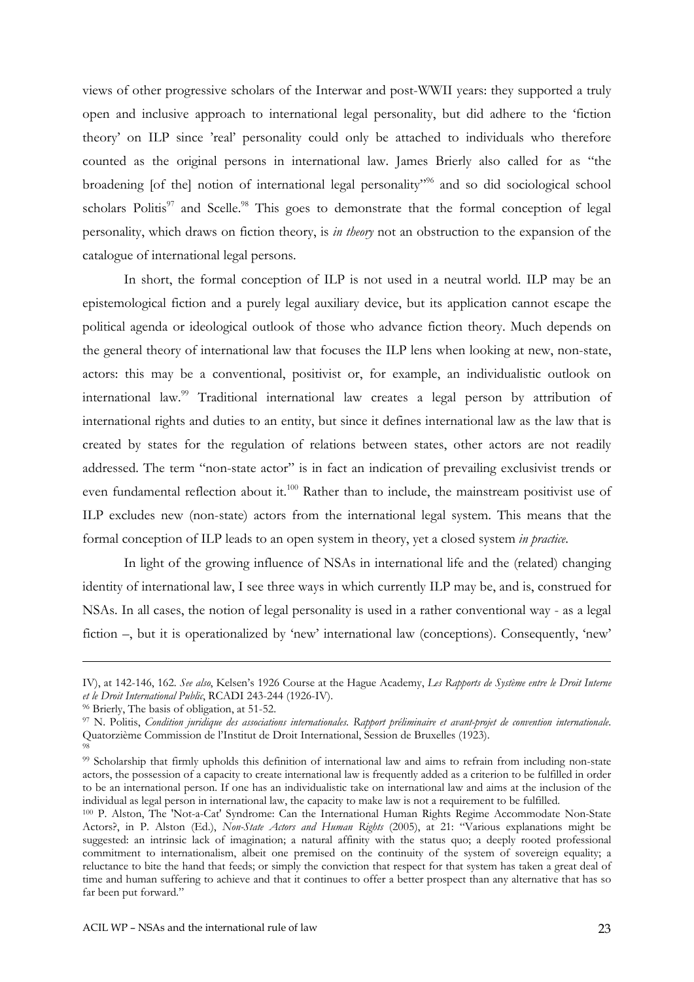views of other progressive scholars of the Interwar and post-WWII years: they supported a truly open and inclusive approach to international legal personality, but did adhere to the 'fiction theory' on ILP since 'real' personality could only be attached to individuals who therefore counted as the original persons in international law. James Brierly also called for as "the broadening [of the] notion of international legal personality<sup>"96</sup> and so did sociological school scholars Politis<sup>97</sup> and Scelle.<sup>98</sup> This goes to demonstrate that the formal conception of legal personality, which draws on fiction theory, is *in theory* not an obstruction to the expansion of the catalogue of international legal persons.

 In short, the formal conception of ILP is not used in a neutral world. ILP may be an epistemological fiction and a purely legal auxiliary device, but its application cannot escape the political agenda or ideological outlook of those who advance fiction theory. Much depends on the general theory of international law that focuses the ILP lens when looking at new, non-state, actors: this may be a conventional, positivist or, for example, an individualistic outlook on international law.99 Traditional international law creates a legal person by attribution of international rights and duties to an entity, but since it defines international law as the law that is created by states for the regulation of relations between states, other actors are not readily addressed. The term "non-state actor" is in fact an indication of prevailing exclusivist trends or even fundamental reflection about it.<sup>100</sup> Rather than to include, the mainstream positivist use of ILP excludes new (non-state) actors from the international legal system. This means that the formal conception of ILP leads to an open system in theory, yet a closed system *in practice*.

 In light of the growing influence of NSAs in international life and the (related) changing identity of international law, I see three ways in which currently ILP may be, and is, construed for NSAs. In all cases, the notion of legal personality is used in a rather conventional way - as a legal fiction –, but it is operationalized by 'new' international law (conceptions). Consequently, 'new'

IV), at 142-146, 162. *See also*, Kelsen's 1926 Course at the Hague Academy, *Les Rapports de Système entre le Droit Interne et le Droit International Public*, RCADI 243-244 (1926-IV). 96 Brierly, The basis of obligation, at 51-52.

<sup>97</sup> N. Politis, *Condition juridique des associations internationales. Rapport préliminaire et avant-projet de convention internationale*. Quatorzième Commission de l'Institut de Droit International, Session de Bruxelles (1923).

<sup>99</sup> Scholarship that firmly upholds this definition of international law and aims to refrain from including non-state actors, the possession of a capacity to create international law is frequently added as a criterion to be fulfilled in order to be an international person. If one has an individualistic take on international law and aims at the inclusion of the individual as legal person in international law, the capacity to make law is not a requirement to be fulfilled. 100 P. Alston, The 'Not-a-Cat' Syndrome: Can the International Human Rights Regime Accommodate Non-State

Actors?, in P. Alston (Ed.), *Non-State Actors and Human Rights* (2005), at 21: "Various explanations might be suggested: an intrinsic lack of imagination; a natural affinity with the status quo; a deeply rooted professional commitment to internationalism, albeit one premised on the continuity of the system of sovereign equality; a reluctance to bite the hand that feeds; or simply the conviction that respect for that system has taken a great deal of time and human suffering to achieve and that it continues to offer a better prospect than any alternative that has so far been put forward."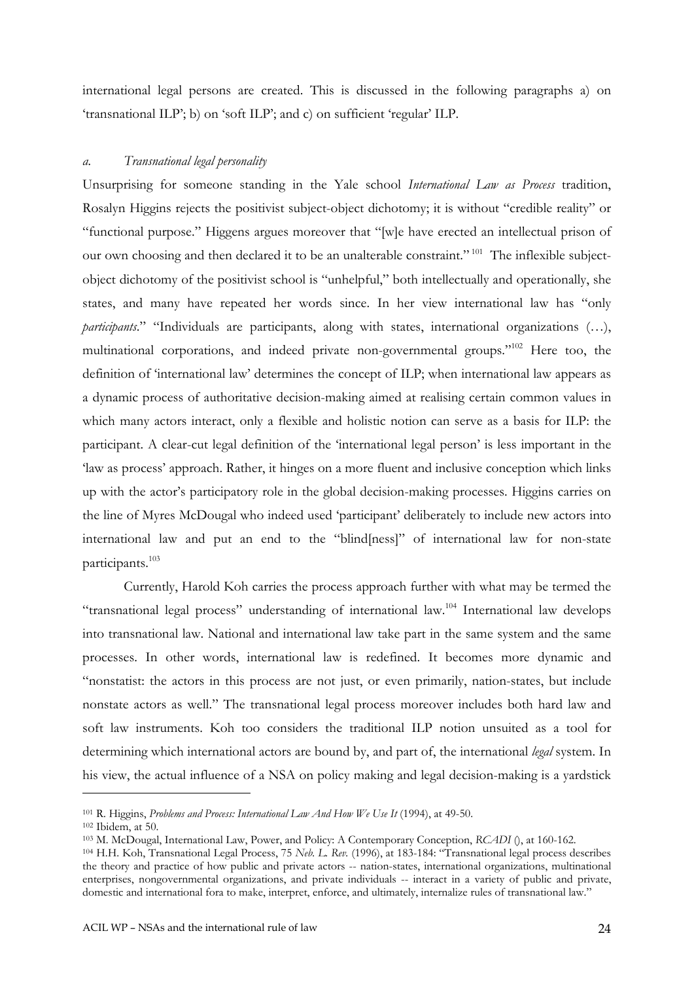international legal persons are created. This is discussed in the following paragraphs a) on 'transnational ILP'; b) on 'soft ILP'; and c) on sufficient 'regular' ILP.

## *a. Transnational legal personality*

Unsurprising for someone standing in the Yale school *International Law as Process* tradition, Rosalyn Higgins rejects the positivist subject-object dichotomy; it is without "credible reality" or "functional purpose." Higgens argues moreover that "[w]e have erected an intellectual prison of our own choosing and then declared it to be an unalterable constraint." <sup>101</sup> The inflexible subjectobject dichotomy of the positivist school is "unhelpful," both intellectually and operationally, she states, and many have repeated her words since. In her view international law has "only *participants*." "Individuals are participants, along with states, international organizations (...), multinational corporations, and indeed private non-governmental groups."102 Here too, the definition of 'international law' determines the concept of ILP; when international law appears as a dynamic process of authoritative decision-making aimed at realising certain common values in which many actors interact, only a flexible and holistic notion can serve as a basis for ILP: the participant. A clear-cut legal definition of the 'international legal person' is less important in the 'law as process' approach. Rather, it hinges on a more fluent and inclusive conception which links up with the actor's participatory role in the global decision-making processes. Higgins carries on the line of Myres McDougal who indeed used 'participant' deliberately to include new actors into international law and put an end to the "blind[ness]" of international law for non-state participants.103

 Currently, Harold Koh carries the process approach further with what may be termed the "transnational legal process" understanding of international law.104 International law develops into transnational law. National and international law take part in the same system and the same processes. In other words, international law is redefined. It becomes more dynamic and "nonstatist: the actors in this process are not just, or even primarily, nation-states, but include nonstate actors as well." The transnational legal process moreover includes both hard law and soft law instruments. Koh too considers the traditional ILP notion unsuited as a tool for determining which international actors are bound by, and part of, the international *legal* system. In his view, the actual influence of a NSA on policy making and legal decision-making is a yardstick

<sup>&</sup>lt;sup>101</sup> R. Higgins, *Problems and Process: International Law And How We Use It* (1994), at 49-50.<br><sup>102</sup> Ibidem, at 50.<br><sup>103</sup> M. McDougal, International Law, Power, and Policy: A Contemporary Conception, RCADI (), at 160-162.

the theory and practice of how public and private actors -- nation-states, international organizations, multinational enterprises, nongovernmental organizations, and private individuals -- interact in a variety of public and private, domestic and international fora to make, interpret, enforce, and ultimately, internalize rules of transnational law."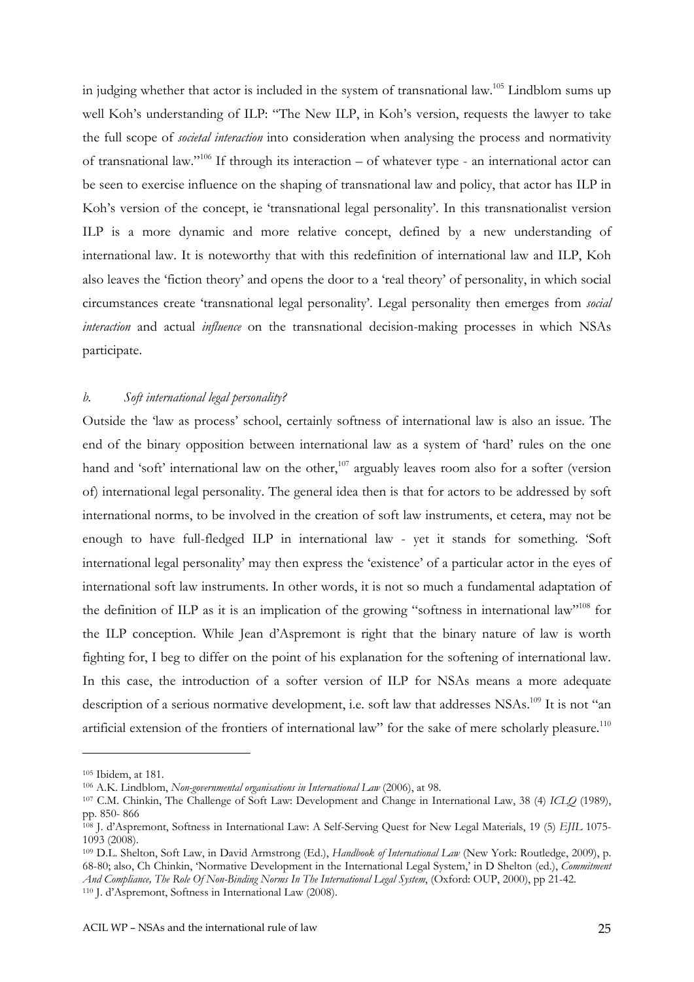in judging whether that actor is included in the system of transnational law.<sup>105</sup> Lindblom sums up well Koh's understanding of ILP: "The New ILP, in Koh's version, requests the lawyer to take the full scope of *societal interaction* into consideration when analysing the process and normativity of transnational law."106 If through its interaction – of whatever type - an international actor can be seen to exercise influence on the shaping of transnational law and policy, that actor has ILP in Koh's version of the concept, ie 'transnational legal personality'. In this transnationalist version ILP is a more dynamic and more relative concept, defined by a new understanding of international law. It is noteworthy that with this redefinition of international law and ILP, Koh also leaves the 'fiction theory' and opens the door to a 'real theory' of personality, in which social circumstances create 'transnational legal personality'. Legal personality then emerges from *social interaction* and actual *influence* on the transnational decision-making processes in which NSAs participate.

## *b. Soft international legal personality?*

Outside the 'law as process' school, certainly softness of international law is also an issue. The end of the binary opposition between international law as a system of 'hard' rules on the one hand and 'soft' international law on the other,<sup>107</sup> arguably leaves room also for a softer (version of) international legal personality. The general idea then is that for actors to be addressed by soft international norms, to be involved in the creation of soft law instruments, et cetera, may not be enough to have full-fledged ILP in international law - yet it stands for something. 'Soft international legal personality' may then express the 'existence' of a particular actor in the eyes of international soft law instruments. In other words, it is not so much a fundamental adaptation of the definition of ILP as it is an implication of the growing "softness in international law"108 for the ILP conception. While Jean d'Aspremont is right that the binary nature of law is worth fighting for, I beg to differ on the point of his explanation for the softening of international law. In this case, the introduction of a softer version of ILP for NSAs means a more adequate description of a serious normative development, i.e. soft law that addresses NSAs.<sup>109</sup> It is not "an artificial extension of the frontiers of international law" for the sake of mere scholarly pleasure.<sup>110</sup>

<sup>&</sup>lt;sup>105</sup> Ibidem, at 181.<br><sup>106</sup> A.K. Lindblom, *Non-governmental organisations in International Law* (2006), at 98.<br><sup>107</sup> C.M. Chinkin, The Challenge of Soft Law: Development and Change in International Law, 38 (4) *ICLQ* (198 pp. 850- 866

<sup>108</sup> J. d'Aspremont, Softness in International Law: A Self-Serving Quest for New Legal Materials, 19 (5) *EJIL* 1075- 1093 (2008).

<sup>109</sup> D.L. Shelton, Soft Law, in David Armstrong (Ed.), *Handbook of International Law* (New York: Routledge, 2009), p. 68-80; also, Ch Chinkin, 'Normative Development in the International Legal System,' in D Shelton (ed.), *Commitment And Compliance, The Role Of Non-Binding Norms In The International Legal System*, (Oxford: OUP, 2000), pp 21-42. 110 J. d'Aspremont, Softness in International Law (2008).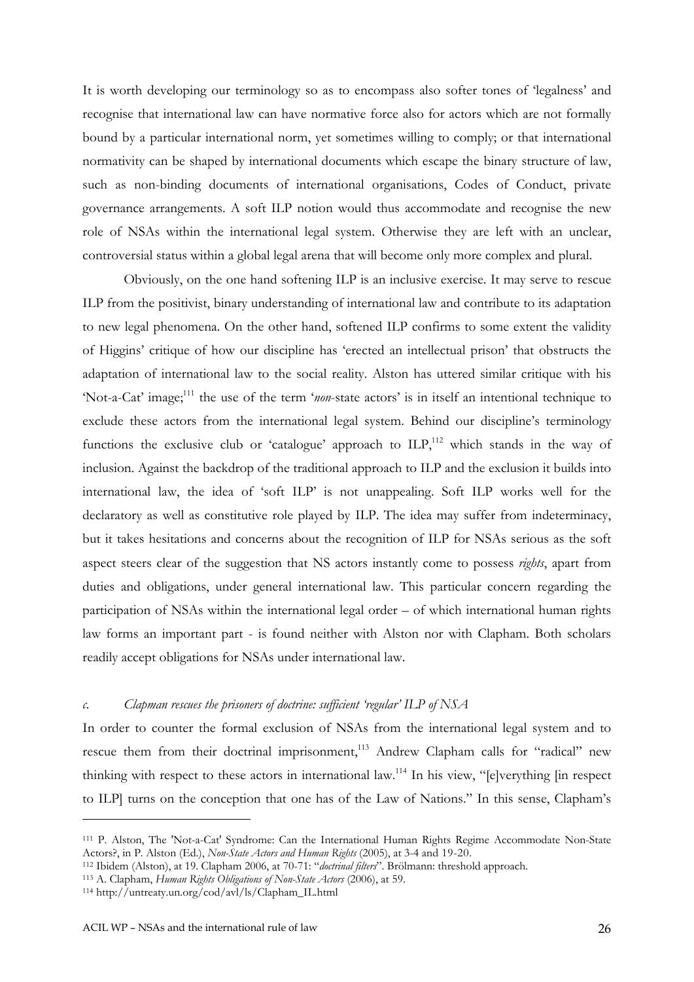It is worth developing our terminology so as to encompass also softer tones of 'legalness' and recognise that international law can have normative force also for actors which are not formally bound by a particular international norm, yet sometimes willing to comply; or that international normativity can be shaped by international documents which escape the binary structure of law, such as non-binding documents of international organisations, Codes of Conduct, private governance arrangements. A soft ILP notion would thus accommodate and recognise the new role of NSAs within the international legal system. Otherwise they are left with an unclear, controversial status within a global legal arena that will become only more complex and plural.

 Obviously, on the one hand softening ILP is an inclusive exercise. It may serve to rescue ILP from the positivist, binary understanding of international law and contribute to its adaptation to new legal phenomena. On the other hand, softened ILP confirms to some extent the validity of Higgins' critique of how our discipline has 'erected an intellectual prison' that obstructs the adaptation of international law to the social reality. Alston has uttered similar critique with his 'Not-a-Cat' image;111 the use of the term '*non*-state actors' is in itself an intentional technique to exclude these actors from the international legal system. Behind our discipline's terminology functions the exclusive club or 'catalogue' approach to  $ILP<sub>112</sub>$  which stands in the way of inclusion. Against the backdrop of the traditional approach to ILP and the exclusion it builds into international law, the idea of 'soft ILP' is not unappealing. Soft ILP works well for the declaratory as well as constitutive role played by ILP. The idea may suffer from indeterminacy, but it takes hesitations and concerns about the recognition of ILP for NSAs serious as the soft aspect steers clear of the suggestion that NS actors instantly come to possess *rights*, apart from duties and obligations, under general international law. This particular concern regarding the participation of NSAs within the international legal order – of which international human rights law forms an important part - is found neither with Alston nor with Clapham. Both scholars readily accept obligations for NSAs under international law.

## *c. Clapman rescues the prisoners of doctrine: sufficient 'regular' ILP of NSA*

In order to counter the formal exclusion of NSAs from the international legal system and to rescue them from their doctrinal imprisonment,<sup>113</sup> Andrew Clapham calls for "radical" new thinking with respect to these actors in international law.114 In his view, "[e]verything [in respect to ILP] turns on the conception that one has of the Law of Nations." In this sense, Clapham's

<sup>111</sup> P. Alston, The 'Not-a-Cat' Syndrome: Can the International Human Rights Regime Accommodate Non-State Actors?, in P. Alston (Ed.), *Non-State Actors and Human Rights* (2005), at 3-4 and 19-20.<br><sup>112</sup> Ibidem (Alston), at 19. Clapham 2006, at 70-71: "*doctrinal filters*". Brölmann: threshold approach.<br><sup>113</sup> A. Clapham, *Human*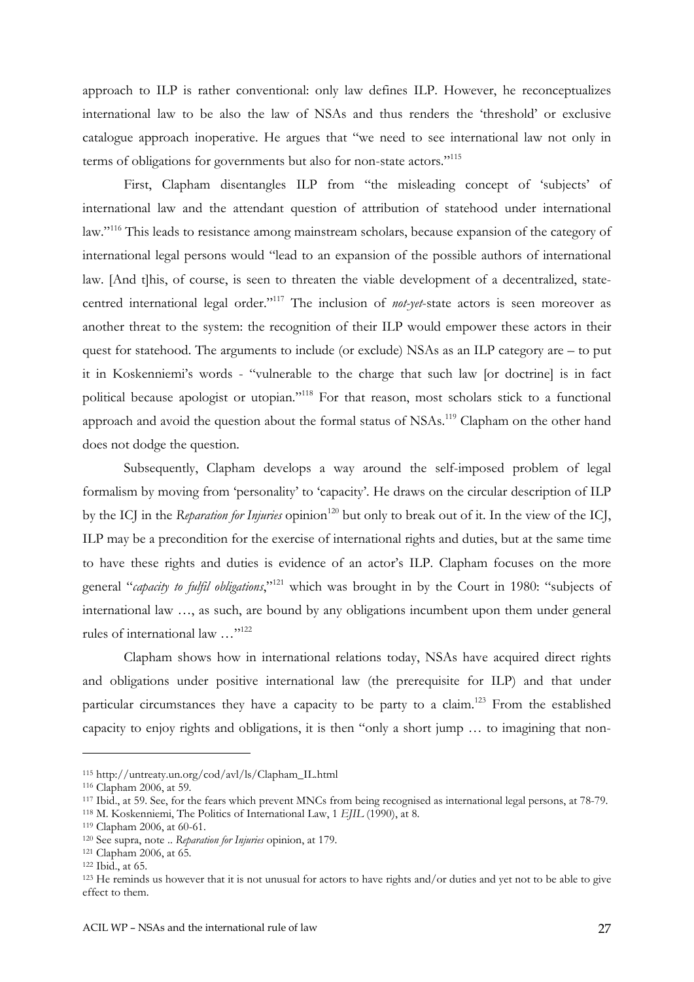approach to ILP is rather conventional: only law defines ILP. However, he reconceptualizes international law to be also the law of NSAs and thus renders the 'threshold' or exclusive catalogue approach inoperative. He argues that "we need to see international law not only in terms of obligations for governments but also for non-state actors."<sup>115</sup>

 First, Clapham disentangles ILP from "the misleading concept of 'subjects' of international law and the attendant question of attribution of statehood under international law."116 This leads to resistance among mainstream scholars, because expansion of the category of international legal persons would "lead to an expansion of the possible authors of international law. [And t]his, of course, is seen to threaten the viable development of a decentralized, statecentred international legal order."117 The inclusion of *not-yet*-state actors is seen moreover as another threat to the system: the recognition of their ILP would empower these actors in their quest for statehood. The arguments to include (or exclude) NSAs as an ILP category are – to put it in Koskenniemi's words - "vulnerable to the charge that such law [or doctrine] is in fact political because apologist or utopian."<sup>118</sup> For that reason, most scholars stick to a functional approach and avoid the question about the formal status of NSAs.<sup>119</sup> Clapham on the other hand does not dodge the question.

 Subsequently, Clapham develops a way around the self-imposed problem of legal formalism by moving from 'personality' to 'capacity'. He draws on the circular description of ILP by the ICJ in the *Reparation for Injuries* opinion<sup>120</sup> but only to break out of it. In the view of the ICJ, ILP may be a precondition for the exercise of international rights and duties, but at the same time to have these rights and duties is evidence of an actor's ILP. Clapham focuses on the more general "*capacity to fulfil obligations*,"121 which was brought in by the Court in 1980: "subjects of international law …, as such, are bound by any obligations incumbent upon them under general rules of international law …"122

 Clapham shows how in international relations today, NSAs have acquired direct rights and obligations under positive international law (the prerequisite for ILP) and that under particular circumstances they have a capacity to be party to a claim.123 From the established capacity to enjoy rights and obligations, it is then "only a short jump … to imagining that non-

<sup>&</sup>lt;sup>115</sup> http://untreaty.un.org/cod/avl/ls/Clapham\_IL.html<br><sup>116</sup> Clapham 2006, at 59.<br><sup>117</sup> Ibid., at 59. See, for the fears which prevent MNCs from being recognised as international legal persons, at 78-79.<br><sup>118</sup> M. Koskenni

effect to them.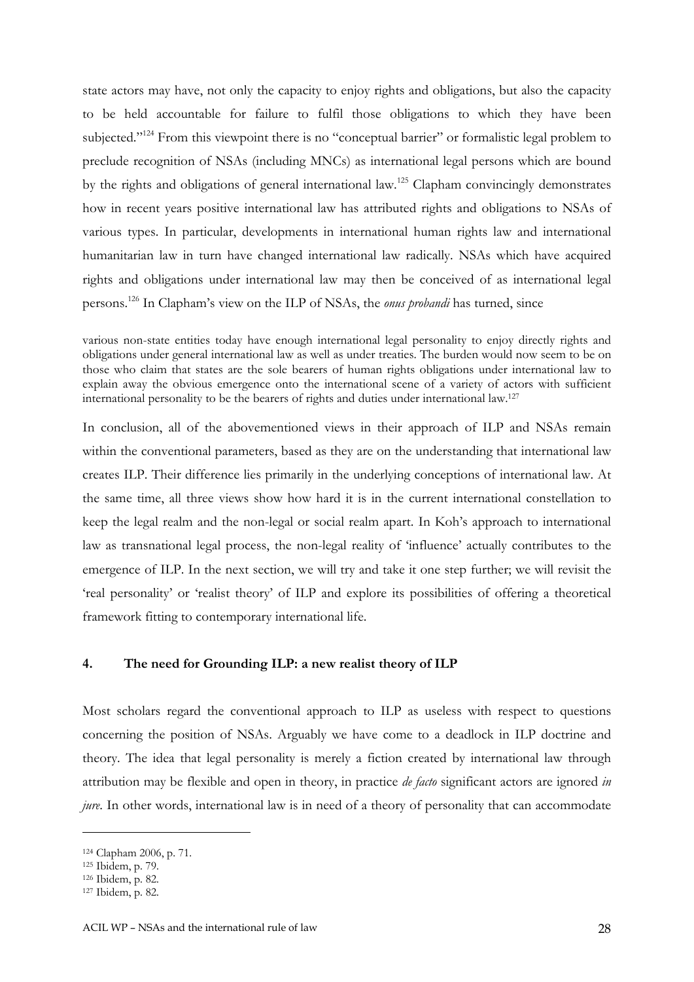state actors may have, not only the capacity to enjoy rights and obligations, but also the capacity to be held accountable for failure to fulfil those obligations to which they have been subjected."<sup>124</sup> From this viewpoint there is no "conceptual barrier" or formalistic legal problem to preclude recognition of NSAs (including MNCs) as international legal persons which are bound by the rights and obligations of general international law.<sup>125</sup> Clapham convincingly demonstrates how in recent years positive international law has attributed rights and obligations to NSAs of various types. In particular, developments in international human rights law and international humanitarian law in turn have changed international law radically. NSAs which have acquired rights and obligations under international law may then be conceived of as international legal persons.126 In Clapham's view on the ILP of NSAs, the *onus probandi* has turned, since

various non-state entities today have enough international legal personality to enjoy directly rights and obligations under general international law as well as under treaties. The burden would now seem to be on those who claim that states are the sole bearers of human rights obligations under international law to explain away the obvious emergence onto the international scene of a variety of actors with sufficient international personality to be the bearers of rights and duties under international law.127

In conclusion, all of the abovementioned views in their approach of ILP and NSAs remain within the conventional parameters, based as they are on the understanding that international law creates ILP. Their difference lies primarily in the underlying conceptions of international law. At the same time, all three views show how hard it is in the current international constellation to keep the legal realm and the non-legal or social realm apart. In Koh's approach to international law as transnational legal process, the non-legal reality of 'influence' actually contributes to the emergence of ILP. In the next section, we will try and take it one step further; we will revisit the 'real personality' or 'realist theory' of ILP and explore its possibilities of offering a theoretical framework fitting to contemporary international life.

## **4. The need for Grounding ILP: a new realist theory of ILP**

Most scholars regard the conventional approach to ILP as useless with respect to questions concerning the position of NSAs. Arguably we have come to a deadlock in ILP doctrine and theory. The idea that legal personality is merely a fiction created by international law through attribution may be flexible and open in theory, in practice *de facto* significant actors are ignored *in jure*. In other words, international law is in need of a theory of personality that can accommodate

<sup>124</sup> Clapham 2006, p. 71.<br>
125 Ibidem, p. 79.<br>
126 Ibidem, p. 82.<br>
127 Ibidem, p. 82.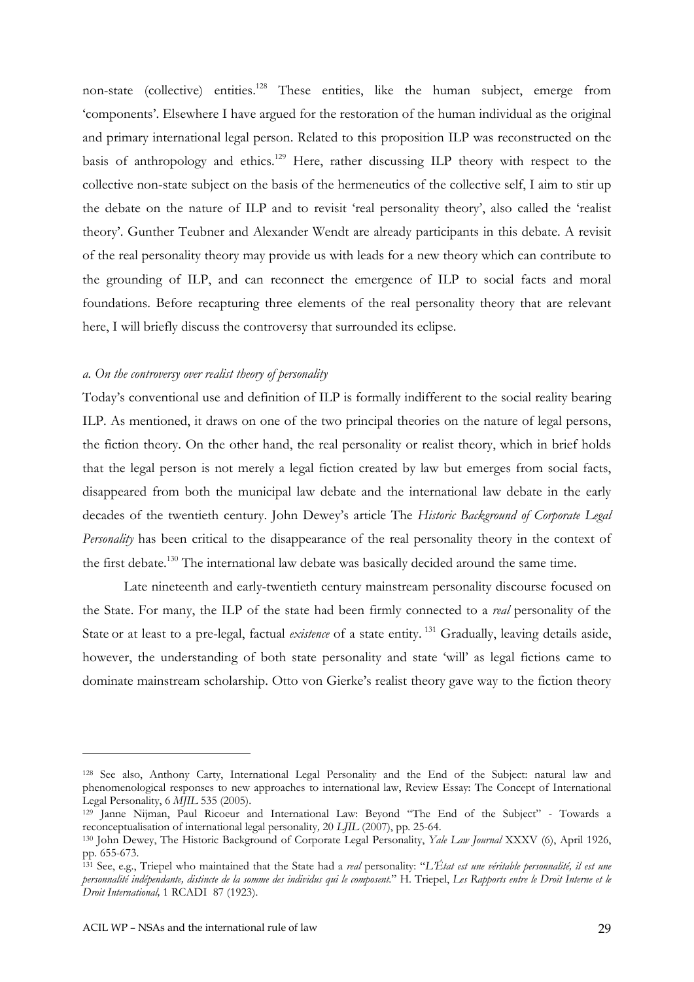non-state (collective) entities.<sup>128</sup> These entities, like the human subject, emerge from 'components'. Elsewhere I have argued for the restoration of the human individual as the original and primary international legal person. Related to this proposition ILP was reconstructed on the basis of anthropology and ethics.<sup>129</sup> Here, rather discussing ILP theory with respect to the collective non-state subject on the basis of the hermeneutics of the collective self, I aim to stir up the debate on the nature of ILP and to revisit 'real personality theory', also called the 'realist theory'. Gunther Teubner and Alexander Wendt are already participants in this debate. A revisit of the real personality theory may provide us with leads for a new theory which can contribute to the grounding of ILP, and can reconnect the emergence of ILP to social facts and moral foundations. Before recapturing three elements of the real personality theory that are relevant here, I will briefly discuss the controversy that surrounded its eclipse.

#### *a. On the controversy over realist theory of personality*

Today's conventional use and definition of ILP is formally indifferent to the social reality bearing ILP. As mentioned, it draws on one of the two principal theories on the nature of legal persons, the fiction theory. On the other hand, the real personality or realist theory, which in brief holds that the legal person is not merely a legal fiction created by law but emerges from social facts, disappeared from both the municipal law debate and the international law debate in the early decades of the twentieth century. John Dewey's article The *Historic Background of Corporate Legal Personality* has been critical to the disappearance of the real personality theory in the context of the first debate.<sup>130</sup> The international law debate was basically decided around the same time.

 Late nineteenth and early-twentieth century mainstream personality discourse focused on the State. For many, the ILP of the state had been firmly connected to a *real* personality of the State or at least to a pre-legal, factual *existence* of a state entity. 131 Gradually, leaving details aside, however, the understanding of both state personality and state 'will' as legal fictions came to dominate mainstream scholarship. Otto von Gierke's realist theory gave way to the fiction theory

<sup>128</sup> See also, Anthony Carty, International Legal Personality and the End of the Subject: natural law and phenomenological responses to new approaches to international law, Review Essay: The Concept of International Legal Personality, 6 MJIL 535 (2005).

<sup>&</sup>lt;sup>129</sup> Janne Nijman, Paul Ricoeur and International Law: Beyond "The End of the Subject" - Towards a reconceptualisation of international legal personality*,* 20 *LJIL* (2007), pp. 25-64. 130 John Dewey, The Historic Background of Corporate Legal Personality, *Yale Law Journal* XXXV (6), April 1926,

pp. 655-673.

<sup>131</sup> See, e.g., Triepel who maintained that the State had a *real* personality: "*L'État est une véritable personnalité, il est une personnalité indépendante, distincte de la somme des individus qui le composent*." H. Triepel, *Les Rapports entre le Droit Interne et le Droit International,* 1 RCADI 87 (1923).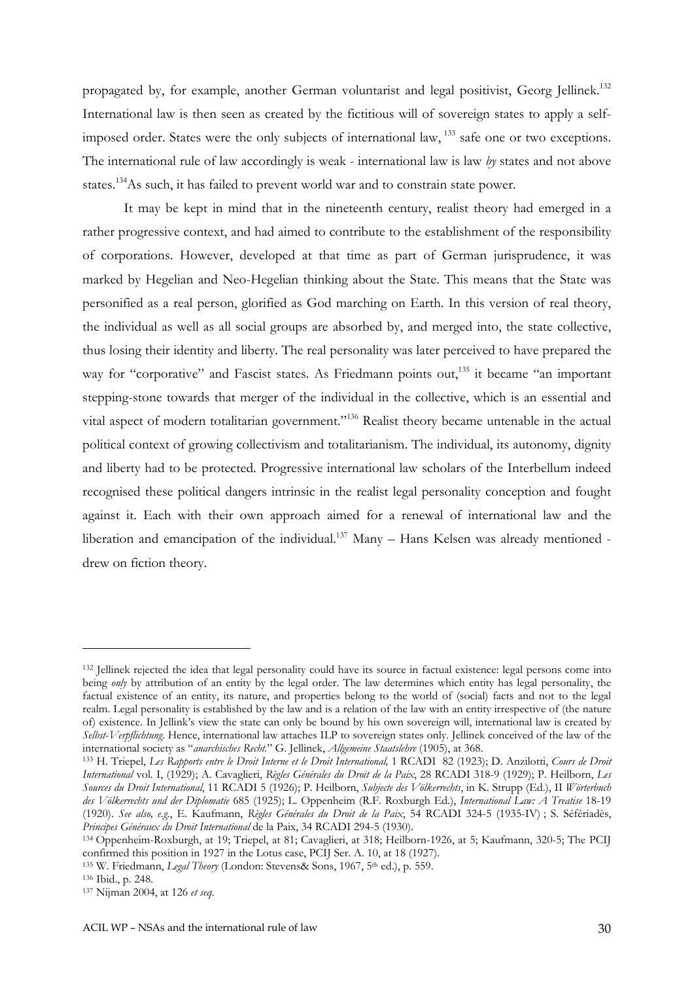propagated by, for example, another German voluntarist and legal positivist, Georg Jellinek.<sup>132</sup> International law is then seen as created by the fictitious will of sovereign states to apply a selfimposed order. States were the only subjects of international law, <sup>133</sup> safe one or two exceptions. The international rule of law accordingly is weak - international law is law *by* states and not above states.134As such, it has failed to prevent world war and to constrain state power.

 It may be kept in mind that in the nineteenth century, realist theory had emerged in a rather progressive context, and had aimed to contribute to the establishment of the responsibility of corporations. However, developed at that time as part of German jurisprudence, it was marked by Hegelian and Neo-Hegelian thinking about the State. This means that the State was personified as a real person, glorified as God marching on Earth. In this version of real theory, the individual as well as all social groups are absorbed by, and merged into, the state collective, thus losing their identity and liberty. The real personality was later perceived to have prepared the way for "corporative" and Fascist states. As Friedmann points out,<sup>135</sup> it became "an important stepping-stone towards that merger of the individual in the collective, which is an essential and vital aspect of modern totalitarian government."136 Realist theory became untenable in the actual political context of growing collectivism and totalitarianism. The individual, its autonomy, dignity and liberty had to be protected. Progressive international law scholars of the Interbellum indeed recognised these political dangers intrinsic in the realist legal personality conception and fought against it. Each with their own approach aimed for a renewal of international law and the liberation and emancipation of the individual.<sup>137</sup> Many – Hans Kelsen was already mentioned drew on fiction theory.

<sup>132</sup> Jellinek rejected the idea that legal personality could have its source in factual existence: legal persons come into being *only* by attribution of an entity by the legal order. The law determines which entity has legal personality, the factual existence of an entity, its nature, and properties belong to the world of (social) facts and not to the legal realm. Legal personality is established by the law and is a relation of the law with an entity irrespective of (the nature of) existence. In Jellink's view the state can only be bound by his own sovereign will, international law is created by *Selbst*-*Verpflichtung*. Hence, international law attaches ILP to sovereign states only. Jellinek conceived of the law of the international society as "anarchisches Recht." G. Jellinek, Allgemeine Staatslehre (1905), at 368.<br><sup>133</sup> H. Triepel, Les Rapports entre le Droit Interne et le Droit International, 1 RCADI 82 (1923); D. Anzilotti, Cours de

*International* vol. I, (1929); A. Cavaglieri, *Règles Générales du Droit de la Paix*, 28 RCADI 318-9 (1929); P. Heilborn, *Les Sources du Droit International*, 11 RCADI 5 (1926); P. Heilborn, *Subjecte des Völkerrechts*, in K. Strupp (Ed.), II *Wörterbuch des Völkerrechts und der Diplomatie* 685 (1925); L. Oppenheim (R.F. Roxburgh Ed.), *International Law: A Treatise* 18-19 (1920). *See also, e.g.*, E. Kaufmann, *Règles Générales du Droit de la Paix*, 54 RCADI 324-5 (1935-IV) ; S. Séfériadès,

<sup>&</sup>lt;sup>134</sup> Oppenheim-Roxburgh, at 19; Triepel, at 81; Cavaglieri, at 318; Heilborn-1926, at 5; Kaufmann, 320-5; The PCIJ confirmed this position in 1927 in the Lotus case, PCIJ Ser. A. 10, at 18 (1927).<br><sup>135</sup> W. Friedmann, *Legal Theory* (London: Stevens& Sons, 1967, 5<sup>th</sup> ed.), p. 559.<br><sup>136</sup> Ibid., p. 248.<br><sup>137</sup> Nijman 2004, at 126 *et seq.*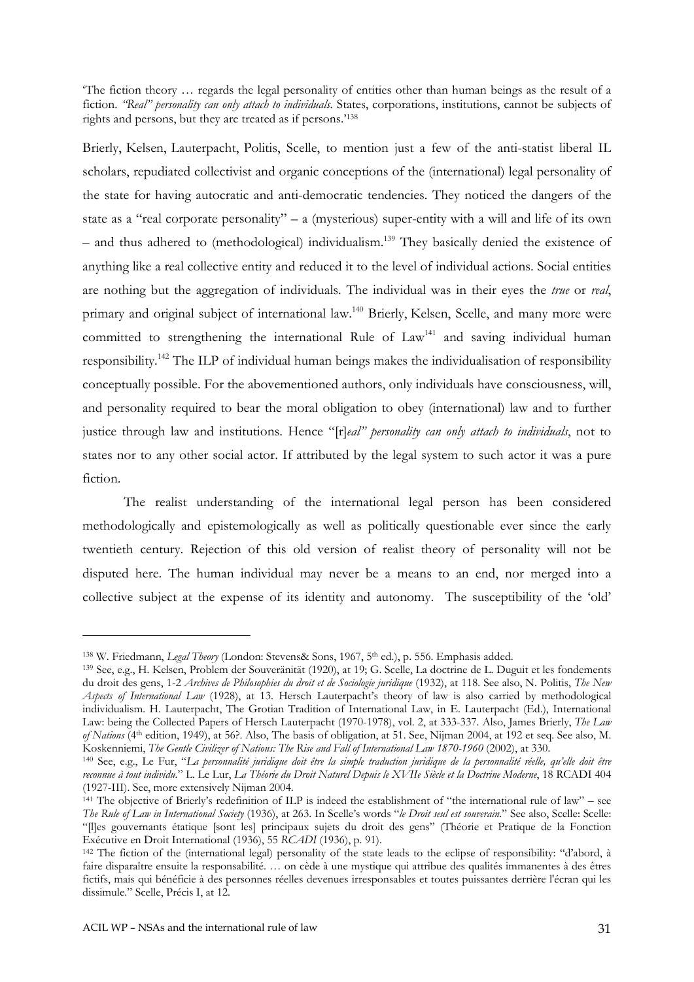'The fiction theory … regards the legal personality of entities other than human beings as the result of a fiction. *"Real" personality can only attach to individuals.* States, corporations, institutions, cannot be subjects of rights and persons, but they are treated as if persons.'138

Brierly, Kelsen, Lauterpacht, Politis, Scelle, to mention just a few of the anti-statist liberal IL scholars, repudiated collectivist and organic conceptions of the (international) legal personality of the state for having autocratic and anti-democratic tendencies. They noticed the dangers of the state as a "real corporate personality" – a (mysterious) super-entity with a will and life of its own – and thus adhered to (methodological) individualism.139 They basically denied the existence of anything like a real collective entity and reduced it to the level of individual actions. Social entities are nothing but the aggregation of individuals. The individual was in their eyes the *true* or *real*, primary and original subject of international law.<sup>140</sup> Brierly, Kelsen, Scelle, and many more were committed to strengthening the international Rule of  $Law<sup>141</sup>$  and saving individual human responsibility.142 The ILP of individual human beings makes the individualisation of responsibility conceptually possible. For the abovementioned authors, only individuals have consciousness, will, and personality required to bear the moral obligation to obey (international) law and to further justice through law and institutions. Hence "[r]*eal" personality can only attach to individuals*, not to states nor to any other social actor. If attributed by the legal system to such actor it was a pure fiction.

 The realist understanding of the international legal person has been considered methodologically and epistemologically as well as politically questionable ever since the early twentieth century. Rejection of this old version of realist theory of personality will not be disputed here. The human individual may never be a means to an end, nor merged into a collective subject at the expense of its identity and autonomy. The susceptibility of the 'old'

<sup>138</sup> W. Friedmann, *Legal Theory* (London: Stevens& Sons, 1967, 5th ed.), p. 556. Emphasis added. 139 See, e.g., H. Kelsen, Problem der Souveränität (1920), at 19; G. Scelle, La doctrine de L. Duguit et les fondements du droit des gens, 1-2 *Archives de Philosophies du droit et de Sociologie juridique* (1932), at 118. See also, N. Politis, *The New Aspects of International Law* (1928), at 13. Hersch Lauterpacht's theory of law is also carried by methodological individualism. H. Lauterpacht, The Grotian Tradition of International Law, in E. Lauterpacht (Ed.), International Law: being the Collected Papers of Hersch Lauterpacht (1970-1978), vol. 2, at 333-337. Also, James Brierly, *The Law of Nations* (4th edition, 1949), at 56?. Also, The basis of obligation, at 51. See, Nijman 2004, at 192 et seq. See also, M. Koskenniemi, The Gentle Civilizer of Nations: The Rise and Fall of International Law 1870-1960 (2002), at 330.<br><sup>140</sup> See, e.g., Le Fur, "La personnalité juridique doit être la simple traduction juridique de la personnalité

*reconnue à tout individu*." L. Le Lur, *La Théorie du Droit Naturel Depuis le XVIIe Siècle et la Doctrine Moderne*, 18 RCADI 404 (1927-III). See, more extensively Nijman 2004.

<sup>&</sup>lt;sup>141</sup> The objective of Brierly's redefinition of ILP is indeed the establishment of "the international rule of law" – see *The Rule of Law in International Society* (1936), at 263. In Scelle's words "*le Droit seul est souverain*." See also, Scelle: Scelle: "[l]es gouvernants étatique [sont les] principaux sujets du droit des gens" (Théorie et Pratique de la Fonction Exécutive en Droit International (1936), 55 *RCADI* (1936), p. 91).<br><sup>142</sup> The fiction of the (international legal) personality of the state leads to the eclipse of responsibility: "d'abord, à

faire disparaître ensuite la responsabilité. … on cède à une mystique qui attribue des qualités immanentes à des êtres fictifs, mais qui bénéficie à des personnes réelles devenues irresponsables et toutes puissantes derrière l'écran qui les dissimule." Scelle, Précis I, at 12.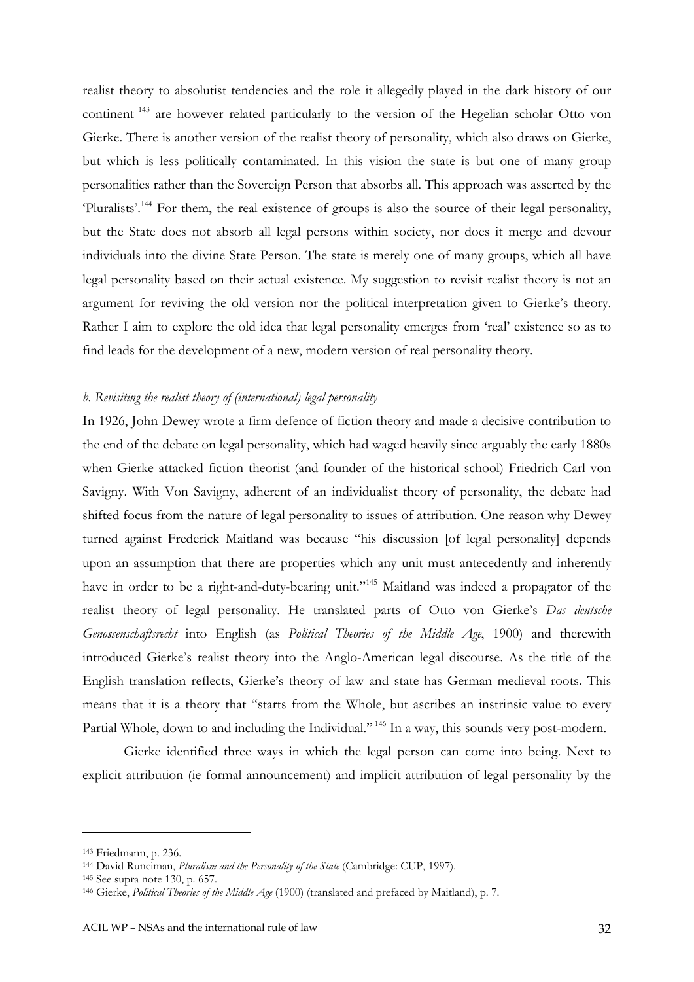realist theory to absolutist tendencies and the role it allegedly played in the dark history of our continent<sup>143</sup> are however related particularly to the version of the Hegelian scholar Otto von Gierke. There is another version of the realist theory of personality, which also draws on Gierke, but which is less politically contaminated. In this vision the state is but one of many group personalities rather than the Sovereign Person that absorbs all. This approach was asserted by the 'Pluralists'.144 For them, the real existence of groups is also the source of their legal personality, but the State does not absorb all legal persons within society, nor does it merge and devour individuals into the divine State Person. The state is merely one of many groups, which all have legal personality based on their actual existence. My suggestion to revisit realist theory is not an argument for reviving the old version nor the political interpretation given to Gierke's theory. Rather I aim to explore the old idea that legal personality emerges from 'real' existence so as to find leads for the development of a new, modern version of real personality theory.

#### *b. Revisiting the realist theory of (international) legal personality*

In 1926, John Dewey wrote a firm defence of fiction theory and made a decisive contribution to the end of the debate on legal personality, which had waged heavily since arguably the early 1880s when Gierke attacked fiction theorist (and founder of the historical school) Friedrich Carl von Savigny. With Von Savigny, adherent of an individualist theory of personality, the debate had shifted focus from the nature of legal personality to issues of attribution. One reason why Dewey turned against Frederick Maitland was because "his discussion [of legal personality] depends upon an assumption that there are properties which any unit must antecedently and inherently have in order to be a right-and-duty-bearing unit."<sup>145</sup> Maitland was indeed a propagator of the realist theory of legal personality. He translated parts of Otto von Gierke's *Das deutsche Genossenschaftsrecht* into English (as *Political Theories of the Middle Age*, 1900) and therewith introduced Gierke's realist theory into the Anglo-American legal discourse. As the title of the English translation reflects, Gierke's theory of law and state has German medieval roots. This means that it is a theory that "starts from the Whole, but ascribes an instrinsic value to every Partial Whole, down to and including the Individual."<sup>146</sup> In a way, this sounds very post-modern.

 Gierke identified three ways in which the legal person can come into being. Next to explicit attribution (ie formal announcement) and implicit attribution of legal personality by the

<sup>&</sup>lt;sup>143</sup> Friedmann, p. 236.<br><sup>144</sup> David Runciman, *Pluralism and the Personality of the State* (Cambridge: CUP, 1997).<br><sup>145</sup> See supra note 130, p. 657.<br><sup>146</sup> Gierke, *Political Theories of the Middle Age* (1900) (translated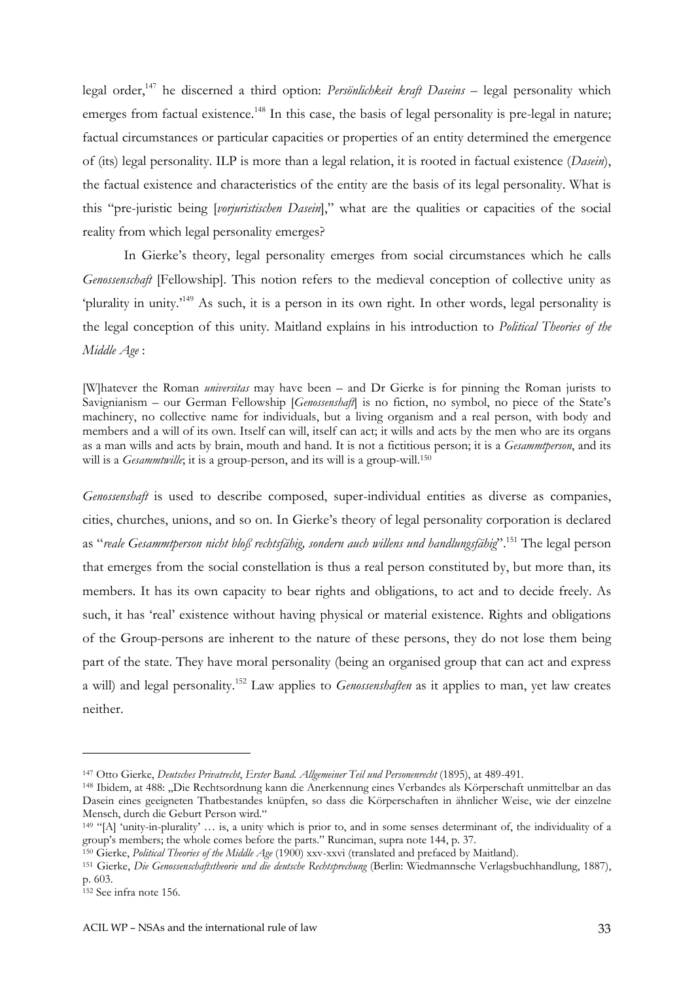legal order,147 he discerned a third option: *Persönlichkeit kraft Daseins* – legal personality which emerges from factual existence.<sup>148</sup> In this case, the basis of legal personality is pre-legal in nature; factual circumstances or particular capacities or properties of an entity determined the emergence of (its) legal personality. ILP is more than a legal relation, it is rooted in factual existence (*Dasein*), the factual existence and characteristics of the entity are the basis of its legal personality. What is this "pre-juristic being [*vorjuristischen Dasein*]," what are the qualities or capacities of the social reality from which legal personality emerges?

 In Gierke's theory, legal personality emerges from social circumstances which he calls *Genossenschaft* [Fellowship]. This notion refers to the medieval conception of collective unity as 'plurality in unity.'149 As such, it is a person in its own right. In other words, legal personality is the legal conception of this unity. Maitland explains in his introduction to *Political Theories of the Middle Age* :

[W]hatever the Roman *universitas* may have been – and Dr Gierke is for pinning the Roman jurists to Savignianism – our German Fellowship [*Genossenshaft*] is no fiction, no symbol, no piece of the State's machinery, no collective name for individuals, but a living organism and a real person, with body and members and a will of its own. Itself can will, itself can act; it wills and acts by the men who are its organs as a man wills and acts by brain, mouth and hand. It is not a fictitious person; it is a *Gesammtperson*, and its will is a *Gesammtwille*; it is a group-person, and its will is a group-will.<sup>150</sup>

*Genossenshaft* is used to describe composed, super-individual entities as diverse as companies, cities, churches, unions, and so on. In Gierke's theory of legal personality corporation is declared as "*reale Gesammtperson nicht bloß rechtsfähig, sondern auch willens und handlungsfähig*".151 The legal person that emerges from the social constellation is thus a real person constituted by, but more than, its members. It has its own capacity to bear rights and obligations, to act and to decide freely. As such, it has 'real' existence without having physical or material existence. Rights and obligations of the Group-persons are inherent to the nature of these persons, they do not lose them being part of the state. They have moral personality (being an organised group that can act and express a will) and legal personality.152 Law applies to *Genossenshaften* as it applies to man, yet law creates neither.

<sup>&</sup>lt;sup>147</sup> Otto Gierke, *Deutsches Privatrecht*, Erster Band. Allgemeiner Teil und Personenrecht (1895), at 489-491.<br><sup>148</sup> Ibidem, at 488: "Die Rechtsordnung kann die Anerkennung eines Verbandes als Körperschaft unmittelbar an

Dasein eines geeigneten Thatbestandes knüpfen, so dass die Körperschaften in ähnlicher Weise, wie der einzelne Mensch, durch die Geburt Person wird."

<sup>149 &</sup>quot;[A] 'unity-in-plurality' … is, a unity which is prior to, and in some senses determinant of, the individuality of a group's members; the whole comes before the parts." Runciman, supra note 144, p. 37.<br><sup>150</sup> Gierke, *Political Theories of the Middle Age* (1900) xxv-xxvi (translated and prefaced by Maitland).<br><sup>151</sup> Gierke, *Die Genossensc* 

p. 603.

<sup>&</sup>lt;sup>152</sup> See infra note 156.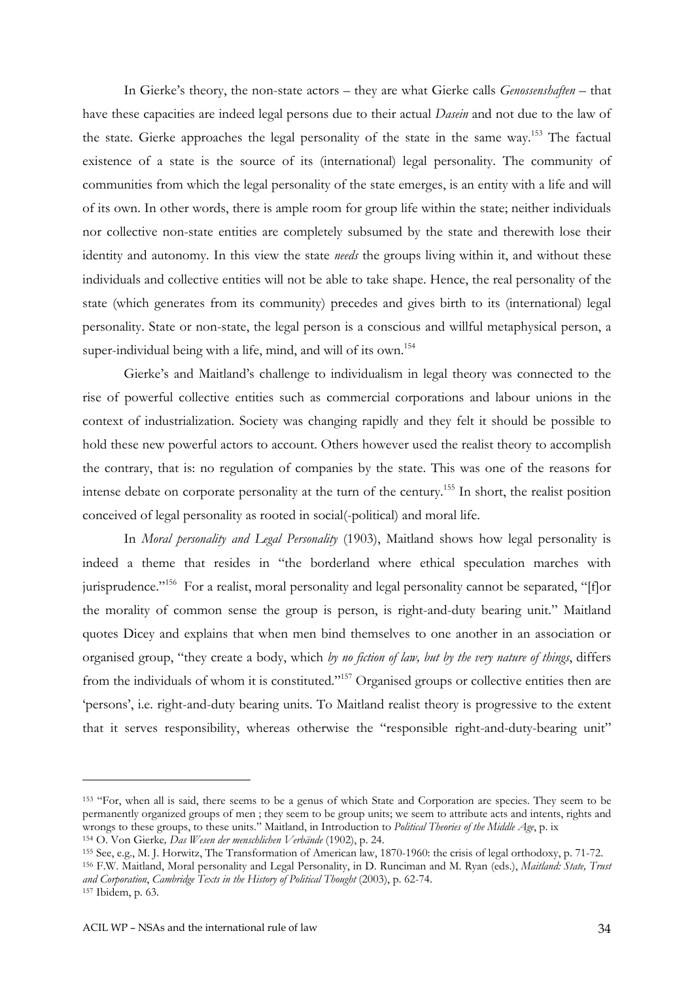In Gierke's theory, the non-state actors – they are what Gierke calls *Genossenshaften* – that have these capacities are indeed legal persons due to their actual *Dasein* and not due to the law of the state. Gierke approaches the legal personality of the state in the same way.153 The factual existence of a state is the source of its (international) legal personality. The community of communities from which the legal personality of the state emerges, is an entity with a life and will of its own. In other words, there is ample room for group life within the state; neither individuals nor collective non-state entities are completely subsumed by the state and therewith lose their identity and autonomy. In this view the state *needs* the groups living within it, and without these individuals and collective entities will not be able to take shape. Hence, the real personality of the state (which generates from its community) precedes and gives birth to its (international) legal personality. State or non-state, the legal person is a conscious and willful metaphysical person, a super-individual being with a life, mind, and will of its own.<sup>154</sup>

Gierke's and Maitland's challenge to individualism in legal theory was connected to the rise of powerful collective entities such as commercial corporations and labour unions in the context of industrialization. Society was changing rapidly and they felt it should be possible to hold these new powerful actors to account. Others however used the realist theory to accomplish the contrary, that is: no regulation of companies by the state. This was one of the reasons for intense debate on corporate personality at the turn of the century.155 In short, the realist position conceived of legal personality as rooted in social(-political) and moral life.

 In *Moral personality and Legal Personality* (1903), Maitland shows how legal personality is indeed a theme that resides in "the borderland where ethical speculation marches with jurisprudence."<sup>156</sup> For a realist, moral personality and legal personality cannot be separated, "[f]or the morality of common sense the group is person, is right-and-duty bearing unit." Maitland quotes Dicey and explains that when men bind themselves to one another in an association or organised group, "they create a body, which *by no fiction of law, but by the very nature of things*, differs from the individuals of whom it is constituted."157 Organised groups or collective entities then are 'persons', i.e. right-and-duty bearing units. To Maitland realist theory is progressive to the extent that it serves responsibility, whereas otherwise the "responsible right-and-duty-bearing unit"

<sup>153 &</sup>quot;For, when all is said, there seems to be a genus of which State and Corporation are species. They seem to be permanently organized groups of men ; they seem to be group units; we seem to attribute acts and intents, rights and wrongs to these groups, to these units." Maitland, in Introduction to *Political Theories of the Middle Age*, p. ix<br><sup>154</sup> O. Von Gierke, *Das Wesen der menschlichen Verbände* (1902), p. 24.<br><sup>155</sup> See, e.g., M. J. Horwitz,

*and Corporation*, *Cambridge Texts in the History of Political Thought* (2003), p. 62-74. 157 Ibidem, p. 63.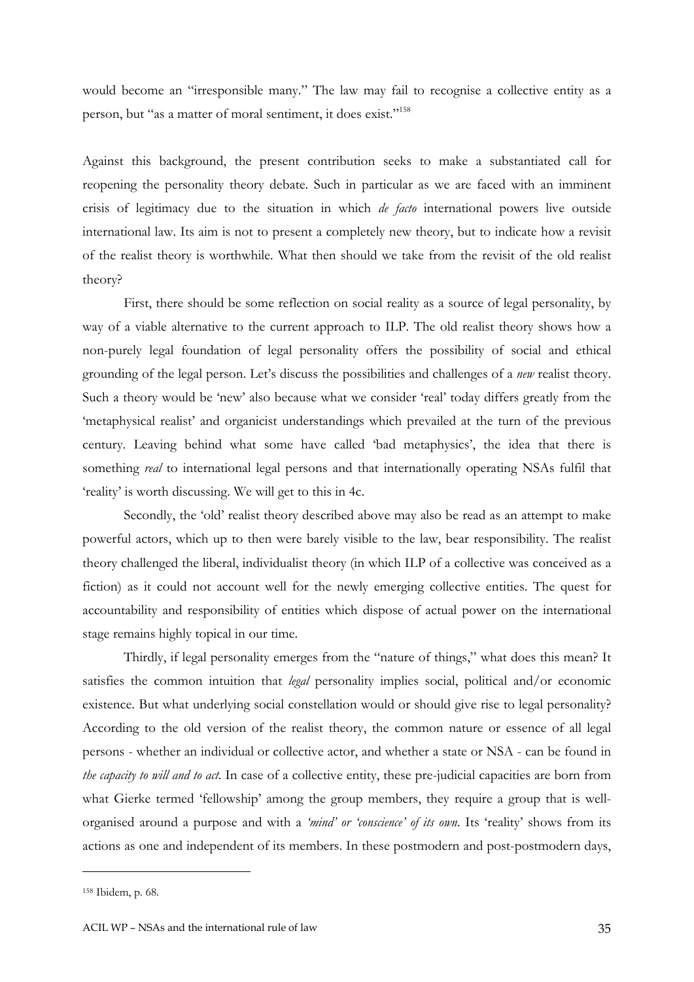would become an "irresponsible many." The law may fail to recognise a collective entity as a person, but "as a matter of moral sentiment, it does exist."158

Against this background, the present contribution seeks to make a substantiated call for reopening the personality theory debate. Such in particular as we are faced with an imminent crisis of legitimacy due to the situation in which *de facto* international powers live outside international law. Its aim is not to present a completely new theory, but to indicate how a revisit of the realist theory is worthwhile. What then should we take from the revisit of the old realist theory?

 First, there should be some reflection on social reality as a source of legal personality, by way of a viable alternative to the current approach to ILP. The old realist theory shows how a non-purely legal foundation of legal personality offers the possibility of social and ethical grounding of the legal person. Let's discuss the possibilities and challenges of a *new* realist theory. Such a theory would be 'new' also because what we consider 'real' today differs greatly from the 'metaphysical realist' and organicist understandings which prevailed at the turn of the previous century. Leaving behind what some have called 'bad metaphysics', the idea that there is something *real* to international legal persons and that internationally operating NSAs fulfil that 'reality' is worth discussing. We will get to this in 4c.

 Secondly, the 'old' realist theory described above may also be read as an attempt to make powerful actors, which up to then were barely visible to the law, bear responsibility. The realist theory challenged the liberal, individualist theory (in which ILP of a collective was conceived as a fiction) as it could not account well for the newly emerging collective entities. The quest for accountability and responsibility of entities which dispose of actual power on the international stage remains highly topical in our time.

 Thirdly, if legal personality emerges from the "nature of things," what does this mean? It satisfies the common intuition that *legal* personality implies social, political and/or economic existence. But what underlying social constellation would or should give rise to legal personality? According to the old version of the realist theory, the common nature or essence of all legal persons - whether an individual or collective actor, and whether a state or NSA - can be found in *the capacity to will and to act*. In case of a collective entity, these pre-judicial capacities are born from what Gierke termed 'fellowship' among the group members, they require a group that is wellorganised around a purpose and with a *'mind' or 'conscience' of its own*. Its 'reality' shows from its actions as one and independent of its members. In these postmodern and post-postmodern days,

<sup>158</sup> Ibidem, p. 68.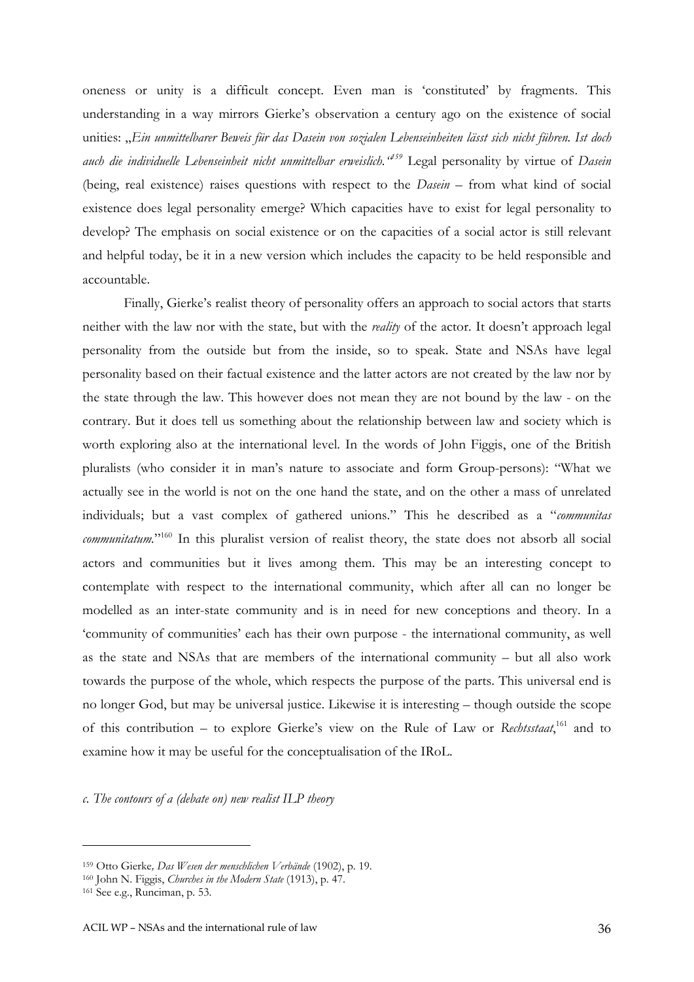oneness or unity is a difficult concept. Even man is 'constituted' by fragments. This understanding in a way mirrors Gierke's observation a century ago on the existence of social unities: "*Ein unmittelbarer Beweis für das Dasein von sozialen Lebenseinheiten lässt sich nicht führen. Ist doch auch die individuelle Lebenseinheit nicht unmittelbar erweislich."159* Legal personality by virtue of *Dasein* (being, real existence) raises questions with respect to the *Dasein* – from what kind of social existence does legal personality emerge? Which capacities have to exist for legal personality to develop? The emphasis on social existence or on the capacities of a social actor is still relevant and helpful today, be it in a new version which includes the capacity to be held responsible and accountable.

 Finally, Gierke's realist theory of personality offers an approach to social actors that starts neither with the law nor with the state, but with the *reality* of the actor. It doesn't approach legal personality from the outside but from the inside, so to speak. State and NSAs have legal personality based on their factual existence and the latter actors are not created by the law nor by the state through the law. This however does not mean they are not bound by the law - on the contrary. But it does tell us something about the relationship between law and society which is worth exploring also at the international level. In the words of John Figgis, one of the British pluralists (who consider it in man's nature to associate and form Group-persons): "What we actually see in the world is not on the one hand the state, and on the other a mass of unrelated individuals; but a vast complex of gathered unions." This he described as a "*communitas communitatum.*"<sup>160</sup> In this pluralist version of realist theory, the state does not absorb all social actors and communities but it lives among them. This may be an interesting concept to contemplate with respect to the international community, which after all can no longer be modelled as an inter-state community and is in need for new conceptions and theory. In a 'community of communities' each has their own purpose - the international community, as well as the state and NSAs that are members of the international community – but all also work towards the purpose of the whole, which respects the purpose of the parts. This universal end is no longer God, but may be universal justice. Likewise it is interesting – though outside the scope of this contribution – to explore Gierke's view on the Rule of Law or *Rechtsstaat*, 161 and to examine how it may be useful for the conceptualisation of the IRoL.

*c. The contours of a (debate on) new realist ILP theory* 

<sup>159</sup> Otto Gierke*, Das Wesen der menschlichen Verbände* (1902), p. 19. 160 John N. Figgis, *Churches in the Modern State* (1913), p. 47. 161 See e.g., Runciman, p. 53.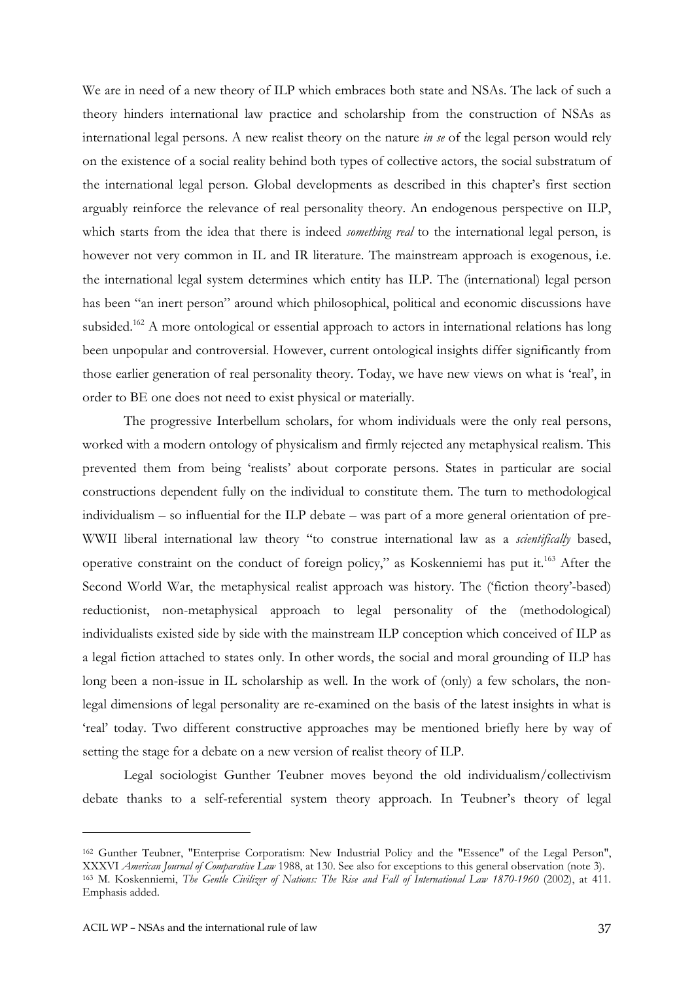We are in need of a new theory of ILP which embraces both state and NSAs. The lack of such a theory hinders international law practice and scholarship from the construction of NSAs as international legal persons. A new realist theory on the nature *in se* of the legal person would rely on the existence of a social reality behind both types of collective actors, the social substratum of the international legal person. Global developments as described in this chapter's first section arguably reinforce the relevance of real personality theory. An endogenous perspective on ILP, which starts from the idea that there is indeed *something real* to the international legal person, is however not very common in IL and IR literature. The mainstream approach is exogenous, i.e. the international legal system determines which entity has ILP. The (international) legal person has been "an inert person" around which philosophical, political and economic discussions have subsided.<sup>162</sup> A more ontological or essential approach to actors in international relations has long been unpopular and controversial. However, current ontological insights differ significantly from those earlier generation of real personality theory. Today, we have new views on what is 'real', in order to BE one does not need to exist physical or materially.

 The progressive Interbellum scholars, for whom individuals were the only real persons, worked with a modern ontology of physicalism and firmly rejected any metaphysical realism. This prevented them from being 'realists' about corporate persons. States in particular are social constructions dependent fully on the individual to constitute them. The turn to methodological individualism – so influential for the ILP debate – was part of a more general orientation of pre-WWII liberal international law theory "to construe international law as a *scientifically* based, operative constraint on the conduct of foreign policy," as Koskenniemi has put it.163 After the Second World War, the metaphysical realist approach was history. The ('fiction theory'-based) reductionist, non-metaphysical approach to legal personality of the (methodological) individualists existed side by side with the mainstream ILP conception which conceived of ILP as a legal fiction attached to states only. In other words, the social and moral grounding of ILP has long been a non-issue in IL scholarship as well. In the work of (only) a few scholars, the nonlegal dimensions of legal personality are re-examined on the basis of the latest insights in what is 'real' today. Two different constructive approaches may be mentioned briefly here by way of setting the stage for a debate on a new version of realist theory of ILP.

 Legal sociologist Gunther Teubner moves beyond the old individualism/collectivism debate thanks to a self-referential system theory approach. In Teubner's theory of legal

<sup>162</sup> Gunther Teubner, "Enterprise Corporatism: New Industrial Policy and the "Essence" of the Legal Person", XXXVI American Journal of Comparative Law 1988, at 130. See also for exceptions to this general observation (note 3).<br><sup>163</sup> M. Koskenniemi, The Gentle Civilizer of Nations: The Rise and Fall of International Law 1870-1960 Emphasis added.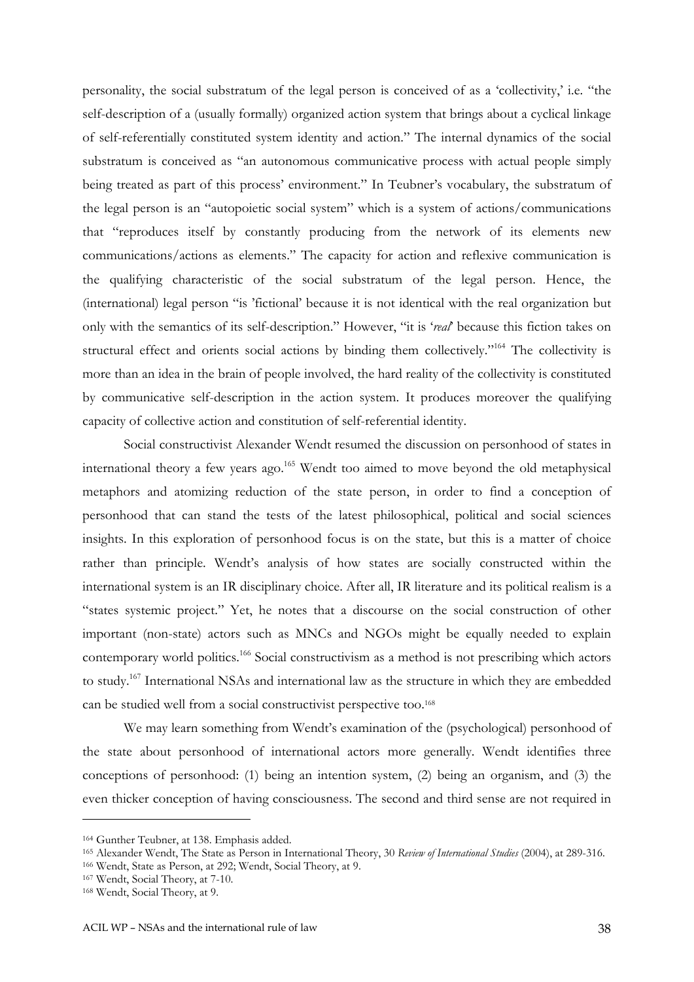personality, the social substratum of the legal person is conceived of as a 'collectivity,' i.e. "the self-description of a (usually formally) organized action system that brings about a cyclical linkage of self-referentially constituted system identity and action." The internal dynamics of the social substratum is conceived as "an autonomous communicative process with actual people simply being treated as part of this process' environment." In Teubner's vocabulary, the substratum of the legal person is an "autopoietic social system" which is a system of actions/communications that "reproduces itself by constantly producing from the network of its elements new communications/actions as elements." The capacity for action and reflexive communication is the qualifying characteristic of the social substratum of the legal person. Hence, the (international) legal person "is 'fictional' because it is not identical with the real organization but only with the semantics of its self-description." However, "it is '*real*' because this fiction takes on structural effect and orients social actions by binding them collectively."<sup>164</sup> The collectivity is more than an idea in the brain of people involved, the hard reality of the collectivity is constituted by communicative self-description in the action system. It produces moreover the qualifying capacity of collective action and constitution of self-referential identity.

 Social constructivist Alexander Wendt resumed the discussion on personhood of states in international theory a few years ago.<sup>165</sup> Wendt too aimed to move beyond the old metaphysical metaphors and atomizing reduction of the state person, in order to find a conception of personhood that can stand the tests of the latest philosophical, political and social sciences insights. In this exploration of personhood focus is on the state, but this is a matter of choice rather than principle. Wendt's analysis of how states are socially constructed within the international system is an IR disciplinary choice. After all, IR literature and its political realism is a "states systemic project." Yet, he notes that a discourse on the social construction of other important (non-state) actors such as MNCs and NGOs might be equally needed to explain contemporary world politics.166 Social constructivism as a method is not prescribing which actors to study.167 International NSAs and international law as the structure in which they are embedded can be studied well from a social constructivist perspective too.168

 We may learn something from Wendt's examination of the (psychological) personhood of the state about personhood of international actors more generally. Wendt identifies three conceptions of personhood: (1) being an intention system, (2) being an organism, and (3) the even thicker conception of having consciousness. The second and third sense are not required in

<sup>&</sup>lt;sup>164</sup> Gunther Teubner, at 138. Emphasis added.<br><sup>165</sup> Alexander Wendt, The State as Person in International Theory, 30 Review of International Studies (2004), at 289-316.<br><sup>166</sup> Wendt, State as Person, at 292; Wendt, Social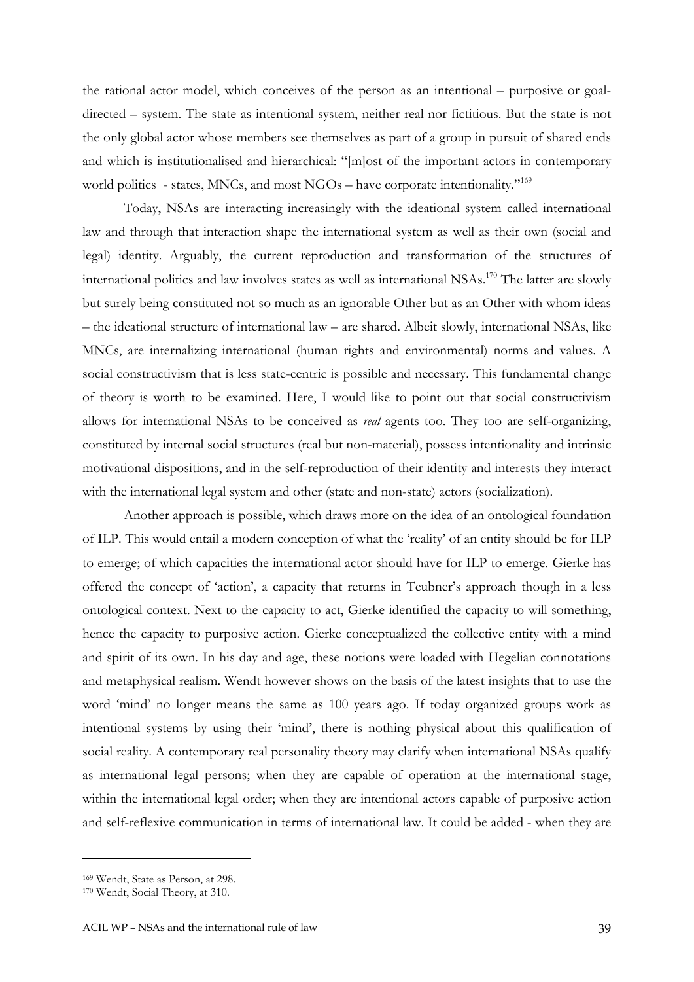the rational actor model, which conceives of the person as an intentional – purposive or goaldirected – system. The state as intentional system, neither real nor fictitious. But the state is not the only global actor whose members see themselves as part of a group in pursuit of shared ends and which is institutionalised and hierarchical: "[m]ost of the important actors in contemporary world politics - states, MNCs, and most NGOs - have corporate intentionality."<sup>169</sup>

 Today, NSAs are interacting increasingly with the ideational system called international law and through that interaction shape the international system as well as their own (social and legal) identity. Arguably, the current reproduction and transformation of the structures of international politics and law involves states as well as international NSAs.<sup>170</sup> The latter are slowly but surely being constituted not so much as an ignorable Other but as an Other with whom ideas – the ideational structure of international law – are shared. Albeit slowly, international NSAs, like MNCs, are internalizing international (human rights and environmental) norms and values. A social constructivism that is less state-centric is possible and necessary. This fundamental change of theory is worth to be examined. Here, I would like to point out that social constructivism allows for international NSAs to be conceived as *real* agents too. They too are self-organizing, constituted by internal social structures (real but non-material), possess intentionality and intrinsic motivational dispositions, and in the self-reproduction of their identity and interests they interact with the international legal system and other (state and non-state) actors (socialization).

 Another approach is possible, which draws more on the idea of an ontological foundation of ILP. This would entail a modern conception of what the 'reality' of an entity should be for ILP to emerge; of which capacities the international actor should have for ILP to emerge. Gierke has offered the concept of 'action', a capacity that returns in Teubner's approach though in a less ontological context. Next to the capacity to act, Gierke identified the capacity to will something, hence the capacity to purposive action. Gierke conceptualized the collective entity with a mind and spirit of its own. In his day and age, these notions were loaded with Hegelian connotations and metaphysical realism. Wendt however shows on the basis of the latest insights that to use the word 'mind' no longer means the same as 100 years ago. If today organized groups work as intentional systems by using their 'mind', there is nothing physical about this qualification of social reality. A contemporary real personality theory may clarify when international NSAs qualify as international legal persons; when they are capable of operation at the international stage, within the international legal order; when they are intentional actors capable of purposive action and self-reflexive communication in terms of international law. It could be added - when they are

<sup>169</sup> Wendt, State as Person, at 298. 170 Wendt, Social Theory, at 310.